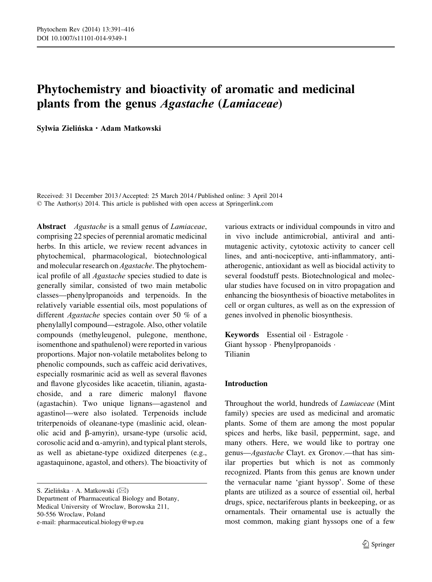# Phytochemistry and bioactivity of aromatic and medicinal plants from the genus Agastache (Lamiaceae)

Sylwia Zielińska · Adam Matkowski

Received: 31 December 2013 / Accepted: 25 March 2014 / Published online: 3 April 2014 © The Author(s) 2014. This article is published with open access at Springerlink.com

Abstract *Agastache* is a small genus of *Lamiaceae*, comprising 22 species of perennial aromatic medicinal herbs. In this article, we review recent advances in phytochemical, pharmacological, biotechnological and molecular research on Agastache. The phytochemical profile of all Agastache species studied to date is generally similar, consisted of two main metabolic classes—phenylpropanoids and terpenoids. In the relatively variable essential oils, most populations of different Agastache species contain over 50 % of a phenylallyl compound—estragole. Also, other volatile compounds (methyleugenol, pulegone, menthone, isomenthone and spathulenol) were reported in various proportions. Major non-volatile metabolites belong to phenolic compounds, such as caffeic acid derivatives, especially rosmarinic acid as well as several flavones and flavone glycosides like acacetin, tilianin, agastachoside, and a rare dimeric malonyl flavone (agastachin). Two unique lignans—agastenol and agastinol—were also isolated. Terpenoids include triterpenoids of oleanane-type (maslinic acid, oleanolic acid and β-amyrin), ursane-type (ursolic acid, corosolic acid and α-amyrin), and typical plant sterols, as well as abietane-type oxidized diterpenes (e.g., agastaquinone, agastol, and others). The bioactivity of

S. Zielińska · A. Matkowski (&)

various extracts or individual compounds in vitro and in vivo include antimicrobial, antiviral and antimutagenic activity, cytotoxic activity to cancer cell lines, and anti-nociceptive, anti-inflammatory, antiatherogenic, antioxidant as well as biocidal activity to several foodstuff pests. Biotechnological and molecular studies have focused on in vitro propagation and enhancing the biosynthesis of bioactive metabolites in cell or organ cultures, as well as on the expression of genes involved in phenolic biosynthesis.

**Keywords** Essential oil  $\cdot$  Estragole  $\cdot$ Giant hyssop · Phenylpropanoids · Tilianin

# Introduction

Throughout the world, hundreds of Lamiaceae (Mint family) species are used as medicinal and aromatic plants. Some of them are among the most popular spices and herbs, like basil, peppermint, sage, and many others. Here, we would like to portray one genus—Agastache Clayt. ex Gronov.—that has similar properties but which is not as commonly recognized. Plants from this genus are known under the vernacular name 'giant hyssop'. Some of these plants are utilized as a source of essential oil, herbal drugs, spice, nectariferous plants in beekeeping, or as ornamentals. Their ornamental use is actually the most common, making giant hyssops one of a few

Department of Pharmaceutical Biology and Botany, Medical University of Wroclaw, Borowska 211, 50-556 Wroclaw, Poland e-mail: pharmaceutical.biology@wp.eu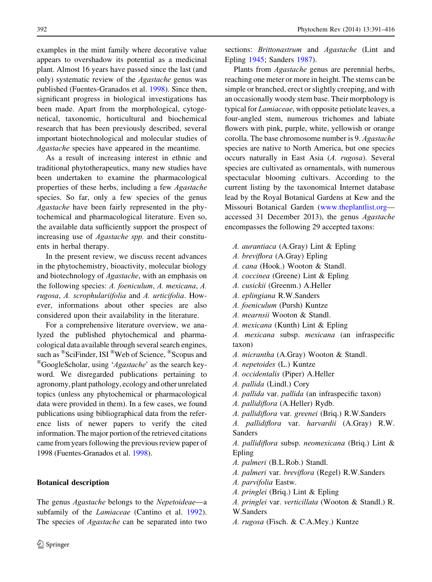examples in the mint family where decorative value appears to overshadow its potential as a medicinal plant. Almost 16 years have passed since the last (and only) systematic review of the Agastache genus was published (Fuentes-Granados et al. [1998](#page-23-0)). Since then, significant progress in biological investigations has been made. Apart from the morphological, cytogenetical, taxonomic, horticultural and biochemical research that has been previously described, several important biotechnological and molecular studies of Agastache species have appeared in the meantime.

As a result of increasing interest in ethnic and traditional phytotherapeutics, many new studies have been undertaken to examine the pharmacological properties of these herbs, including a few Agastache species. So far, only a few species of the genus Agastache have been fairly represented in the phytochemical and pharmacological literature. Even so, the available data sufficiently support the prospect of increasing use of Agastache spp. and their constituents in herbal therapy.

In the present review, we discuss recent advances in the phytochemistry, bioactivity, molecular biology and biotechnology of Agastache, with an emphasis on the following species: A. foeniculum, A. mexicana, A. rugosa, A. scrophulariifolia and A. urticifolia. However, informations about other species are also considered upon their availability in the literature.

For a comprehensive literature overview, we analyzed the published phytochemical and pharmacological data available through several search engines, such as <sup>®</sup>SciFinder, ISI<sup>®</sup>Web of Science, <sup>®</sup>Scopus and  $^{\circ\circ}$ GoogleScholar, using 'Agastache' as the search keyword. We disregarded publications pertaining to agronomy, plant pathology, ecology and other unrelated topics (unless any phytochemical or pharmacological data were provided in them). In a few cases, we found publications using bibliographical data from the reference lists of newer papers to verify the cited information. The major portion of the retrieved citations came from years following the previous review paper of 1998 (Fuentes-Granados et al. [1998](#page-23-0)).

## Botanical description

The genus Agastache belongs to the Nepetoideae—a subfamily of the *Lamiaceae* (Cantino et al. [1992](#page-22-0)). The species of Agastache can be separated into two sections: Brittonastrum and Agastache (Lint and Epling [1945;](#page-24-0) Sanders [1987\)](#page-25-0).

Plants from Agastache genus are perennial herbs, reaching one meter or more in height. The stems can be simple or branched, erect or slightly creeping, and with an occasionally woody stem base. Their morphology is typical for Lamiaceae, with opposite petiolate leaves, a four-angled stem, numerous trichomes and labiate flowers with pink, purple, white, yellowish or orange corolla. The base chromosome number is 9. Agastache species are native to North America, but one species occurs naturally in East Asia (A. rugosa). Several species are cultivated as ornamentals, with numerous spectacular blooming cultivars. According to the current listing by the taxonomical Internet database lead by the Royal Botanical Gardens at Kew and the Missouri Botanical Garden ([www.theplantlist.org](http://www.theplantlist.org) accessed 31 December 2013), the genus Agastache encompasses the following 29 accepted taxons:

- A. aurantiaca (A.Gray) Lint & Epling
- A. breviflora (A.Gray) Epling
- A. cana (Hook.) Wooton & Standl.
- A. coccinea (Greene) Lint & Epling
- A. cusickii (Greenm.) A.Heller
- A. eplingiana R.W.Sanders
- A. foeniculum (Pursh) Kuntze
- A. mearnsii Wooton & Standl.
- A. mexicana (Kunth) Lint & Epling

A. mexicana subsp. mexicana (an infraspecific taxon)

- A. micrantha (A.Gray) Wooton & Standl.
- A. nepetoides (L.) Kuntze
- A. occidentalis (Piper) A.Heller
- A. pallida (Lindl.) Cory
- A. pallida var. pallida (an infraspecific taxon)
- A. pallidiflora (A.Heller) Rydb.
- A. pallidiflora var. greenei (Briq.) R.W.Sanders
- A. pallidiflora var. harvardii (A.Gray) R.W. Sanders

A. pallidiflora subsp. neomexicana (Briq.) Lint & Epling

- A. palmeri (B.L.Rob.) Standl.
- A. palmeri var. breviflora (Regel) R.W.Sanders
- A. parvifolia Eastw.
- A. pringlei (Briq.) Lint & Epling
- A. pringlei var. verticillata (Wooton & Standl.) R. W.Sanders
- A. rugosa (Fisch. & C.A.Mey.) Kuntze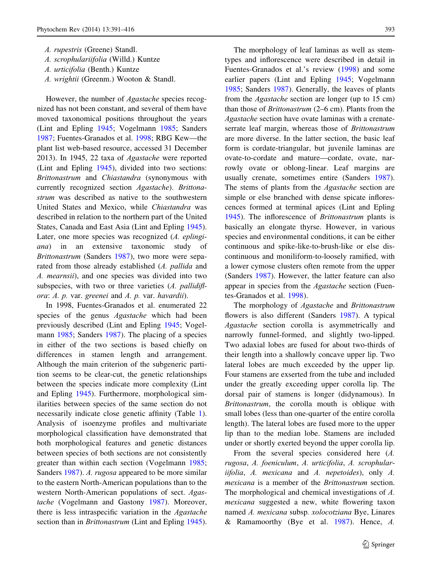- A. urticifolia (Benth.) Kuntze
- A. wrightii (Greenm.) Wooton & Standl.

However, the number of Agastache species recognized has not been constant, and several of them have moved taxonomical positions throughout the years (Lint and Epling [1945](#page-24-0); Vogelmann [1985;](#page-25-0) Sanders [1987;](#page-25-0) Fuentes-Granados et al. [1998;](#page-23-0) RBG Kew—the plant list web-based resource, accessed 31 December 2013). In 1945, 22 taxa of Agastache were reported (Lint and Epling [1945](#page-24-0)), divided into two sections: Brittonastrum and Chiastandra (synonymous with currently recognized section Agastache). Brittonastrum was described as native to the southwestern United States and Mexico, while Chiastandra was described in relation to the northern part of the United States, Canada and East Asia (Lint and Epling [1945](#page-24-0)). Later, one more species was recognized (A. eplingiana) in an extensive taxonomic study of Brittonastrum (Sanders [1987\)](#page-25-0), two more were separated from those already established (A. pallida and A. mearnsii), and one species was divided into two subspecies, with two or three varieties (A. pallidiflora: A. p. var. greenei and A. p. var. havardii).

In 1998, Fuentes-Granados et al. enumerated 22 species of the genus Agastache which had been previously described (Lint and Epling [1945;](#page-24-0) Vogelmann [1985](#page-25-0); Sanders [1987](#page-25-0)). The placing of a species in either of the two sections is based chiefly on differences in stamen length and arrangement. Although the main criterion of the subgeneric partition seems to be clear-cut, the genetic relationships between the species indicate more complexity (Lint and Epling [1945\)](#page-24-0). Furthermore, morphological similarities between species of the same section do not necessarily indicate close genetic affinity (Table [1](#page-3-0)). Analysis of isoenzyme profiles and multivariate morphological classification have demonstrated that both morphological features and genetic distances between species of both sections are not consistently greater than within each section (Vogelmann [1985](#page-25-0); Sanders [1987\)](#page-25-0). A. rugosa appeared to be more similar to the eastern North-American populations than to the western North-American populations of sect. Agastache (Vogelmann and Gastony [1987\)](#page-25-0). Moreover, there is less intraspecific variation in the Agastache section than in *Brittonastrum* (Lint and Epling [1945](#page-24-0)).

The morphology of leaf laminas as well as stemtypes and inflorescence were described in detail in Fuentes-Granados et al.'s review ([1998\)](#page-23-0) and some earlier papers (Lint and Epling [1945](#page-24-0); Vogelmann [1985;](#page-25-0) Sanders [1987](#page-25-0)). Generally, the leaves of plants from the Agastache section are longer (up to 15 cm) than those of Brittonastrum (2–6 cm). Plants from the Agastache section have ovate laminas with a crenateserrate leaf margin, whereas those of Brittonastrum are more diverse. In the latter section, the basic leaf form is cordate-triangular, but juvenile laminas are ovate-to-cordate and mature—cordate, ovate, narrowly ovate or oblong-linear. Leaf margins are usually crenate, sometimes entire (Sanders [1987](#page-25-0)). The stems of plants from the Agastache section are simple or else branched with dense spicate inflorescences formed at terminal apices (Lint and Epling [1945\)](#page-24-0). The inflorescence of Brittonastrum plants is basically an elongate thyrse. However, in various species and environmental conditions, it can be either continuous and spike-like-to-brush-like or else discontinuous and moniliform-to-loosely ramified, with a lower cymose clusters often remote from the upper (Sanders [1987](#page-25-0)). However, the latter feature can also appear in species from the Agastache section (Fuentes-Granados et al. [1998\)](#page-23-0).

The morphology of Agastache and Brittonastrum flowers is also different (Sanders [1987](#page-25-0)). A typical Agastache section corolla is asymmetrically and narrowly funnel-formed, and slightly two-lipped. Two adaxial lobes are fused for about two-thirds of their length into a shallowly concave upper lip. Two lateral lobes are much exceeded by the upper lip. Four stamens are exserted from the tube and included under the greatly exceeding upper corolla lip. The dorsal pair of stamens is longer (didynamous). In Brittonastrum, the corolla mouth is oblique with small lobes (less than one-quarter of the entire corolla length). The lateral lobes are fused more to the upper lip than to the median lobe. Stamens are included under or shortly exerted beyond the upper corolla lip.

From the several species considered here (A. rugosa, A. foeniculum, A. urticifolia, A. scrophulariifolia, A. mexicana and A. nepetoides), only A. mexicana is a member of the Brittonastrum section. The morphological and chemical investigations of A. mexicana suggested a new, white flowering taxon named A. mexicana subsp. xolocotziana Bye, Linares & Ramamoorthy (Bye et al. [1987](#page-22-0)). Hence, A.

A. rupestris (Greene) Standl.

A. scrophulariifolia (Willd.) Kuntze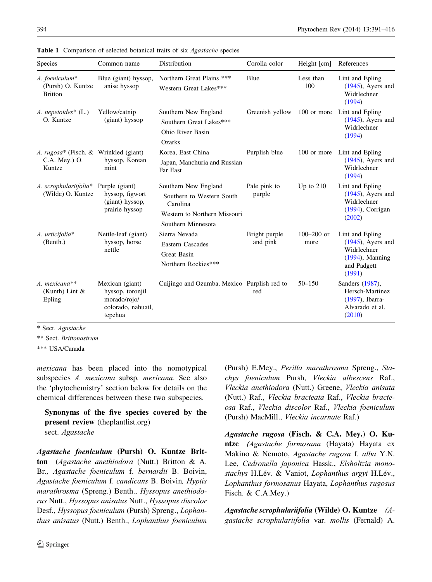| Species                                                          | Common name                                                                          | Distribution                                                                                                        | Corolla color             | Height [cm]            | References                                                                                            |
|------------------------------------------------------------------|--------------------------------------------------------------------------------------|---------------------------------------------------------------------------------------------------------------------|---------------------------|------------------------|-------------------------------------------------------------------------------------------------------|
| A. foeniculum*<br>(Pursh) O. Kuntze<br><b>Britton</b>            | Blue (giant) hyssop,<br>anise hyssop                                                 | Northern Great Plains ***<br>Western Great Lakes***                                                                 | Blue                      | Less than<br>100       | Lint and Epling<br>$(1945)$ , Ayers and<br>Widrlechner<br>(1994)                                      |
| $A.$ nepetoides* (L.)<br>O. Kuntze                               | Yellow/catnip<br>(giant) hyssop                                                      | Southern New England<br>Southern Great Lakes***<br>Ohio River Basin<br>Ozarks                                       | Greenish yellow           |                        | 100 or more Lint and Epling<br>$(1945)$ , Ayers and<br>Widrlechner<br>(1994)                          |
| A. rugosa* (Fisch. & Wrinkled (giant)<br>C.A. Mey.) O.<br>Kuntze | hyssop, Korean<br>mint                                                               | Korea, East China<br>Japan, Manchuria and Russian<br>Far East                                                       | Purplish blue             |                        | 100 or more Lint and Epling<br>$(1945)$ , Ayers and<br>Widrlechner<br>(1994)                          |
| A. scrophulariifolia* Purple (giant)<br>(Wilde) O. Kuntze        | hyssop, figwort<br>(giant) hyssop,<br>prairie hyssop                                 | Southern New England<br>Southern to Western South<br>Carolina<br>Western to Northern Missouri<br>Southern Minnesota | Pale pink to<br>purple    | Up to $210$            | Lint and Epling<br>$(1945)$ , Ayers and<br>Widrlechner<br>$(1994)$ , Corrigan<br>(2002)               |
| A. urticifolia*<br>(Benth.)                                      | Nettle-leaf (giant)<br>hyssop, horse<br>nettle                                       | Sierra Nevada<br>Eastern Cascades<br><b>Great Basin</b><br>Northern Rockies***                                      | Bright purple<br>and pink | $100 - 200$ or<br>more | Lint and Epling<br>$(1945)$ , Ayers and<br>Widrlechner<br>$(1994)$ , Manning<br>and Padgett<br>(1991) |
| A. mexicana**<br>(Kunth) Lint &<br>Epling                        | Mexican (giant)<br>hyssop, toronjil<br>morado/rojo/<br>colorado, nahuatl,<br>tepehua | Cuijingo and Ozumba, Mexico Purplish red to                                                                         | red                       | $50 - 150$             | Sanders (1987),<br>Hersch-Martinez<br>(1997), Ibarra-<br>Alvarado et al.<br>(2010)                    |

<span id="page-3-0"></span>Table 1 Comparison of selected botanical traits of six Agastache species

\* Sect. Agastache

\*\* Sect. Brittonastrum

\*\*\* USA/Canada

mexicana has been placed into the nomotypical subspecies A. mexicana subsp. mexicana. See also the 'phytochemistry' section below for details on the chemical differences between these two subspecies.

Synonyms of the five species covered by the present review (theplantlist.org) sect. Agastache

Agastache foeniculum (Pursh) O. Kuntze Britton (Agastache anethiodora (Nutt.) Britton & A. Br., Agastache foeniculum f. bernardii B. Boivin, Agastache foeniculum f. candicans B. Boivin, Hyptis marathrosma (Spreng.) Benth., Hyssopus anethiodorus Nutt., Hyssopus anisatus Nutt., Hyssopus discolor Desf., Hyssopus foeniculum (Pursh) Spreng., Lophanthus anisatus (Nutt.) Benth., Lophanthus foeniculum (Pursh) E.Mey., Perilla marathrosma Spreng., Stachys foeniculum Pursh, Vleckia albescens Raf., Vleckia anethiodora (Nutt.) Greene, Vleckia anisata (Nutt.) Raf., Vleckia bracteata Raf., Vleckia bracteosa Raf., Vleckia discolor Raf., Vleckia foeniculum (Pursh) MacMill., Vleckia incarnate Raf.)

Agastache rugosa (Fisch. & C.A. Mey.) O. Kuntze (Agastache formosana (Hayata) Hayata ex Makino & Nemoto, Agastache rugosa f. alba Y.N. Lee, Cedronella japonica Hassk., Elsholtzia monostachys H.Lév. & Vaniot, Lophanthus argyi H.Lév., Lophanthus formosanus Hayata, Lophanthus rugosus Fisch. & C.A.Mey.)

Agastache scrophulariifolia (Wilde) O. Kuntze (Agastache scrophulariifolia var. mollis (Fernald) A.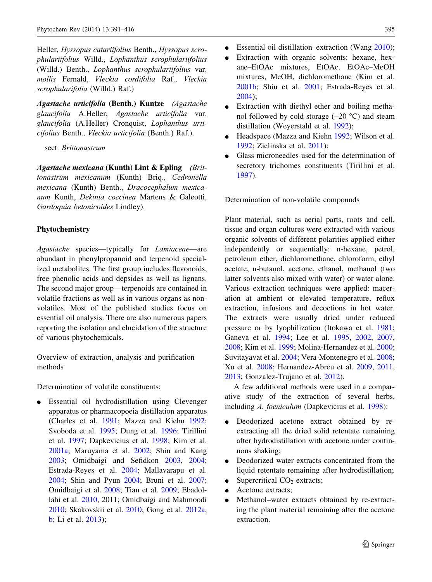Heller, Hyssopus catariifolius Benth., Hyssopus scrophulariifolius Willd., Lophanthus scrophulariifolius (Willd.) Benth., Lophanthus scrophulariifolius var. mollis Fernald, Vleckia cordifolia Raf., Vleckia scrophularifolia (Willd.) Raf.)

Agastache urticifolia (Benth.) Kuntze (Agastache glaucifolia A.Heller, Agastache urticifolia var. glaucifolia (A.Heller) Cronquist, Lophanthus urticifolius Benth., Vleckia urticifolia (Benth.) Raf.).

sect. Brittonastrum

Agastache mexicana (Kunth) Lint & Epling (Brittonastrum mexicanum (Kunth) Briq., Cedronella mexicana (Kunth) Benth., Dracocephalum mexicanum Kunth, Dekinia coccinea Martens & Galeotti, Gardoquia betonicoides Lindley).

## Phytochemistry

Agastache species—typically for Lamiaceae—are abundant in phenylpropanoid and terpenoid specialized metabolites. The first group includes flavonoids, free phenolic acids and depsides as well as lignans. The second major group—terpenoids are contained in volatile fractions as well as in various organs as nonvolatiles. Most of the published studies focus on essential oil analysis. There are also numerous papers reporting the isolation and elucidation of the structure of various phytochemicals.

Overview of extraction, analysis and purification methods

Determination of volatile constituents:

Essential oil hydrodistillation using Clevenger apparatus or pharmacopoeia distillation apparatus (Charles et al. [1991](#page-22-0); Mazza and Kiehn [1992](#page-24-0); Svoboda et al. [1995;](#page-25-0) Dung et al. [1996](#page-23-0); Tirillini et al. [1997;](#page-25-0) Dapkevicius et al. [1998;](#page-23-0) Kim et al. [2001a](#page-24-0); Maruyama et al. [2002;](#page-24-0) Shin and Kang [2003;](#page-25-0) Omidbaigi and Sefidkon [2003,](#page-25-0) [2004](#page-25-0); Estrada-Reyes et al. [2004](#page-23-0); Mallavarapu et al. [2004;](#page-24-0) Shin and Pyun [2004](#page-25-0); Bruni et al. [2007](#page-22-0); Omidbaigi et al. [2008](#page-25-0); Tian et al. [2009](#page-25-0); Ebadollahi et al. [2010](#page-23-0), 2011; Omidbaigi and Mahmoodi [2010;](#page-24-0) Skakovskii et al. [2010;](#page-25-0) Gong et al. [2012a,](#page-23-0) [b;](#page-23-0) Li et al. [2013\)](#page-24-0);

- Essential oil distillation–extraction (Wang [2010](#page-25-0));
- Extraction with organic solvents: hexane, hexane–EtOAc mixtures, EtOAc, EtOAc–MeOH mixtures, MeOH, dichloromethane (Kim et al. [2001b;](#page-24-0) Shin et al. [2001;](#page-25-0) Estrada-Reyes et al. [2004\)](#page-23-0);
- Extraction with diethyl ether and boiling methanol followed by cold storage (−20 °C) and steam distillation (Weyerstahl et al. [1992](#page-25-0));
- Headspace (Mazza and Kiehn [1992](#page-24-0); Wilson et al. [1992;](#page-25-0) Zielinska et al. [2011](#page-25-0));
- Glass microneedles used for the determination of secretory trichomes constituents (Tirillini et al. [1997\)](#page-25-0).

Determination of non-volatile compounds

Plant material, such as aerial parts, roots and cell, tissue and organ cultures were extracted with various organic solvents of different polarities applied either independently or sequentially: n-hexane, petrol, petroleum ether, dichloromethane, chloroform, ethyl acetate, n-butanol, acetone, ethanol, methanol (two latter solvents also mixed with water) or water alone. Various extraction techniques were applied: maceration at ambient or elevated temperature, reflux extraction, infusions and decoctions in hot water. The extracts were usually dried under reduced pressure or by lyophilization (Itokawa et al. [1981](#page-23-0); Ganeva et al. [1994;](#page-23-0) Lee et al. [1995,](#page-24-0) [2002](#page-24-0), [2007,](#page-24-0) [2008;](#page-24-0) Kim et al. [1999](#page-24-0); Molina-Hernandez et al. [2000;](#page-24-0) Suvitayavat et al. [2004](#page-25-0); Vera-Montenegro et al. [2008](#page-25-0); Xu et al. [2008](#page-25-0); Hernandez-Abreu et al. [2009,](#page-23-0) [2011,](#page-23-0) [2013;](#page-23-0) Gonzalez-Trujano et al. [2012\)](#page-23-0).

A few additional methods were used in a comparative study of the extraction of several herbs, including A. foeniculum (Dapkevicius et al. [1998\)](#page-23-0):

- Deodorized acetone extract obtained by reextracting all the dried solid retentate remaining after hydrodistillation with acetone under continuous shaking;
- Deodorized water extracts concentrated from the liquid retentate remaining after hydrodistillation;
- Supercritical  $CO<sub>2</sub>$  extracts;
- Acetone extracts;
- Methanol–water extracts obtained by re-extracting the plant material remaining after the acetone extraction.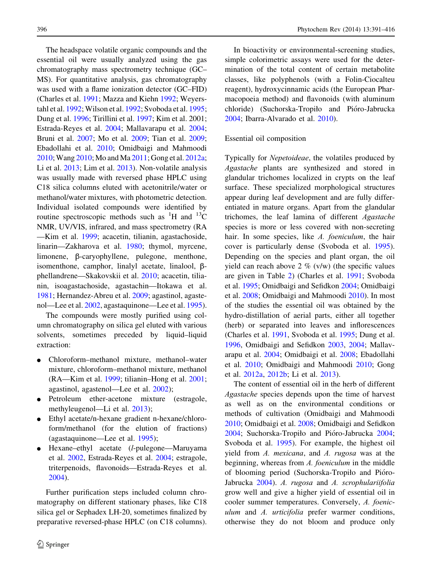The headspace volatile organic compounds and the essential oil were usually analyzed using the gas chromatography mass spectrometry technique (GC– MS). For quantitative analysis, gas chromatography was used with a flame ionization detector (GC–FID) (Charles et al. [1991;](#page-22-0) Mazza and Kiehn [1992](#page-24-0); Weyers-tahl et al. [1992;](#page-25-0) Wilson et al. [1992](#page-25-0); Svoboda et al. [1995](#page-25-0); Dung et al. [1996;](#page-23-0) Tirillini et al. [1997;](#page-25-0) Kim et al. 2001; Estrada-Reyes et al. [2004](#page-23-0); Mallavarapu et al. [2004](#page-24-0); Bruni et al. [2007;](#page-22-0) Mo et al. [2009](#page-24-0); Tian et al. [2009](#page-25-0); Ebadollahi et al. [2010;](#page-23-0) Omidbaigi and Mahmoodi [2010;](#page-24-0)Wang [2010](#page-25-0); Mo and Ma [2011;](#page-24-0) Gong et al. [2012a](#page-23-0); Li et al. [2013;](#page-24-0) Lim et al. [2013](#page-24-0)). Non-volatile analysis was usually made with reversed phase HPLC using C18 silica columns eluted with acetonitrile/water or methanol/water mixtures, with photometric detection. Individual isolated compounds were identified by routine spectroscopic methods such as  ${}^{1}H$  and  ${}^{13}C$ NMR, UV/VIS, infrared, and mass spectrometry (RA —Kim et al. [1999](#page-24-0); acacetin, tilianin, agastachoside, linarin—Zakharova et al. [1980](#page-25-0); thymol, myrcene, limonene, β-caryophyllene, pulegone, menthone, isomenthone, camphor, linalyl acetate, linalool, βphellandrene—Skakovskii et al. [2010;](#page-25-0) acacetin, tilianin, isoagastachoside, agastachin—Itokawa et al. [1981;](#page-23-0) Hernandez-Abreu et al. [2009;](#page-23-0) agastinol, agastenol—Lee et al. [2002](#page-24-0), agastaquinone—Lee et al. [1995](#page-24-0)).

The compounds were mostly purified using column chromatography on silica gel eluted with various solvents, sometimes preceded by liquid–liquid extraction:

- Chloroform–methanol mixture, methanol–water mixture, chloroform–methanol mixture, methanol (RA—Kim et al. [1999](#page-24-0); tilianin–Hong et al. [2001](#page-23-0); agastinol, agastenol—Lee et al. [2002\)](#page-24-0);
- Petroleum ether-acetone mixture (estragole, methyleugenol—Li et al. [2013](#page-24-0));
- Ethyl acetate/n-hexane gradient n-hexane/chloroform/methanol (for the elution of fractions) (agastaquinone—Lee et al. [1995](#page-24-0));
- Hexane–ethyl acetate (l-pulegone—Maruyama et al. [2002,](#page-24-0) Estrada-Reyes et al. [2004](#page-23-0); estragole, triterpenoids, flavonoids—Estrada-Reyes et al. [2004\)](#page-23-0).

Further purification steps included column chromatography on different stationary phases, like C18 silica gel or Sephadex LH-20, sometimes finalized by preparative reversed-phase HPLC (on C18 columns).

In bioactivity or environmental-screening studies, simple colorimetric assays were used for the determination of the total content of certain metabolite classes, like polyphenols (with a Folin-Ciocalteu reagent), hydroxycinnamic acids (the European Pharmacopoeia method) and flavonoids (with aluminum chloride) (Suchorska-Tropiło and Pióro-Jabrucka [2004;](#page-25-0) Ibarra-Alvarado et al. [2010](#page-23-0)).

## Essential oil composition

Typically for Nepetoideae, the volatiles produced by Agastache plants are synthesized and stored in glandular trichomes localized in crypts on the leaf surface. These specialized morphological structures appear during leaf development and are fully differentiated in mature organs. Apart from the glandular trichomes, the leaf lamina of different Agastache species is more or less covered with non-secreting hair. In some species, like A. foeniculum, the hair cover is particularly dense (Svoboda et al. [1995](#page-25-0)). Depending on the species and plant organ, the oil yield can reach above  $2\%$  (v/w) (the specific values are given in Table [2\)](#page-6-0) (Charles et al. [1991;](#page-22-0) Svoboda et al. [1995;](#page-25-0) Omidbaigi and Sefidkon [2004](#page-25-0); Omidbaigi et al. [2008](#page-25-0); Omidbaigi and Mahmoodi [2010](#page-24-0)). In most of the studies the essential oil was obtained by the hydro-distillation of aerial parts, either all together (herb) or separated into leaves and inflorescences (Charles et al. [1991](#page-22-0), Svoboda et al. [1995;](#page-25-0) Dung et al. [1996,](#page-23-0) Omidbaigi and Sefidkon [2003,](#page-25-0) [2004;](#page-25-0) Mallavarapu et al. [2004](#page-24-0); Omidbaigi et al. [2008;](#page-25-0) Ebadollahi et al. [2010](#page-23-0); Omidbaigi and Mahmoodi [2010](#page-24-0); Gong et al. [2012a](#page-23-0), [2012b;](#page-23-0) Li et al. [2013\)](#page-24-0).

The content of essential oil in the herb of different Agastache species depends upon the time of harvest as well as on the environmental conditions or methods of cultivation (Omidbaigi and Mahmoodi [2010;](#page-24-0) Omidbaigi et al. [2008](#page-25-0); Omidbaigi and Sefidkon [2004;](#page-25-0) Suchorska-Tropiło and Pióro-Jabrucka [2004](#page-25-0); Svoboda et al. [1995](#page-25-0)). For example, the highest oil yield from A. mexicana, and A. rugosa was at the beginning, whereas from A. foeniculum in the middle of blooming period (Suchorska-Tropiło and Pióro-Jabrucka [2004](#page-25-0)). A. rugosa and A. scrophulariifolia grow well and give a higher yield of essential oil in cooler summer temperatures. Conversely, A. foeniculum and A. urticifolia prefer warmer conditions, otherwise they do not bloom and produce only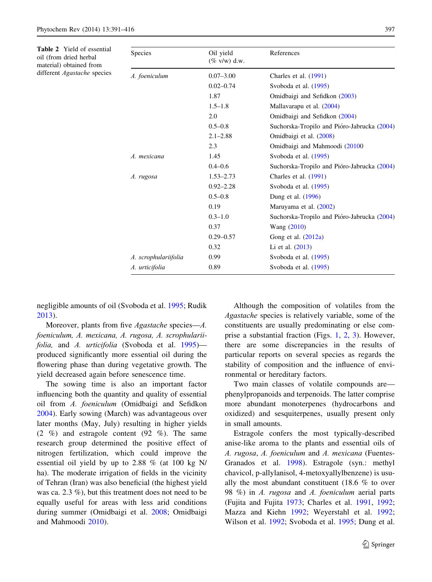<span id="page-6-0"></span>

| <b>Table 2</b> Yield of essential<br>oil (from dried herbal<br>material) obtained from | <b>Species</b>       | Oil yield<br>$(\%$ v/w) d.w. | References                                  |
|----------------------------------------------------------------------------------------|----------------------|------------------------------|---------------------------------------------|
| different <i>Agastache</i> species                                                     | A. foeniculum        | $0.07 - 3.00$                | Charles et al. $(1991)$                     |
|                                                                                        |                      | $0.02 - 0.74$                | Svoboda et al. (1995)                       |
|                                                                                        |                      | 1.87                         | Omidbaigi and Sefidkon (2003)               |
|                                                                                        |                      | $1.5 - 1.8$                  | Mallavarapu et al. (2004)                   |
|                                                                                        |                      | 2.0                          | Omidbaigi and Sefidkon (2004)               |
|                                                                                        |                      | $0.5 - 0.8$                  | Suchorska-Tropilo and Pióro-Jabrucka (2004) |
|                                                                                        |                      | $2.1 - 2.88$                 | Omidbaigi et al. (2008)                     |
|                                                                                        |                      | 2.3                          | Omidbaigi and Mahmoodi (20100               |
|                                                                                        | A. mexicana          | 1.45                         | Svoboda et al. (1995)                       |
|                                                                                        |                      | $0.4 - 0.6$                  | Suchorska-Tropilo and Pióro-Jabrucka (2004) |
|                                                                                        | A. rugosa            | $1.53 - 2.73$                | Charles et al. $(1991)$                     |
|                                                                                        |                      | $0.92 - 2.28$                | Svoboda et al. (1995)                       |
|                                                                                        |                      | $0.5 - 0.8$                  | Dung et al. (1996)                          |
|                                                                                        |                      | 0.19                         | Maruyama et al. (2002)                      |
|                                                                                        |                      | $0.3 - 1.0$                  | Suchorska-Tropilo and Pióro-Jabrucka (2004) |
|                                                                                        |                      | 0.37                         | Wang (2010)                                 |
|                                                                                        |                      | $0.29 - 0.57$                | Gong et al. $(2012a)$                       |
|                                                                                        |                      | 0.32                         | Li et al. $(2013)$                          |
|                                                                                        | A. scrophulariifolia | 0.99                         | Svoboda et al. $(1995)$                     |
|                                                                                        | A. urticifolia       | 0.89                         | Svoboda et al. (1995)                       |
|                                                                                        |                      |                              |                                             |

negligible amounts of oil (Svoboda et al. [1995](#page-25-0); Rudik [2013\)](#page-25-0).

Moreover, plants from five *Agastache* species—A. foeniculum, A. mexicana, A. rugosa, A. scrophulariifolia, and A. urticifolia (Svoboda et al. [1995\)](#page-25-0) produced significantly more essential oil during the flowering phase than during vegetative growth. The yield decreased again before senescence time.

The sowing time is also an important factor influencing both the quantity and quality of essential oil from A. foeniculum (Omidbaigi and Sefidkon [2004\)](#page-25-0). Early sowing (March) was advantageous over later months (May, July) resulting in higher yields (2 %) and estragole content (92 %). The same research group determined the positive effect of nitrogen fertilization, which could improve the essential oil yield by up to 2.88 % (at 100 kg N/ ha). The moderate irrigation of fields in the vicinity of Tehran (Iran) was also beneficial (the highest yield was ca. 2.3 %), but this treatment does not need to be equally useful for areas with less arid conditions during summer (Omidbaigi et al. [2008;](#page-25-0) Omidbaigi and Mahmoodi [2010\)](#page-24-0).

Although the composition of volatiles from the Agastache species is relatively variable, some of the constituents are usually predominating or else comprise a substantial fraction (Figs. [1](#page-7-0), [2,](#page-7-0) [3\)](#page-7-0). However, there are some discrepancies in the results of particular reports on several species as regards the stability of composition and the influence of environmental or hereditary factors.

Two main classes of volatile compounds are phenylpropanoids and terpenoids. The latter comprise more abundant monoterpenes (hydrocarbons and oxidized) and sesquiterpenes, usually present only in small amounts.

Estragole confers the most typically-described anise-like aroma to the plants and essential oils of A. rugosa, A. foeniculum and A. mexicana (Fuentes-Granados et al. [1998](#page-23-0)). Estragole (syn.: methyl chavicol, p-allylanisol, 4-metoxyallylbenzene) is usually the most abundant constituent (18.6 % to over 98 %) in A. rugosa and A. foeniculum aerial parts (Fujita and Fujita [1973;](#page-23-0) Charles et al. [1991,](#page-22-0) [1992](#page-22-0); Mazza and Kiehn [1992](#page-24-0); Weyerstahl et al. [1992](#page-25-0); Wilson et al. [1992;](#page-25-0) Svoboda et al. [1995](#page-25-0); Dung et al.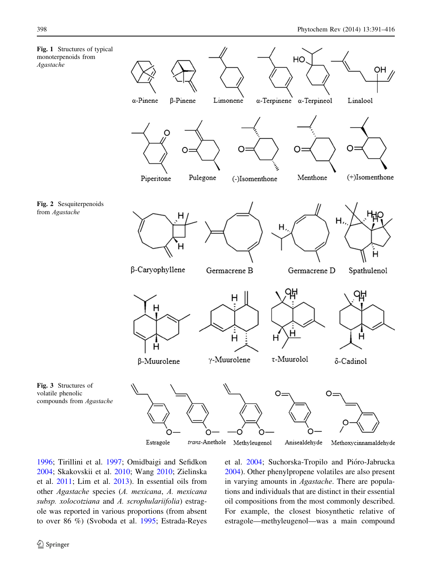<span id="page-7-0"></span>

[1996;](#page-23-0) Tirillini et al. [1997](#page-25-0); Omidbaigi and Sefidkon [2004;](#page-25-0) Skakovskii et al. [2010;](#page-25-0) Wang [2010;](#page-25-0) Zielinska et al. [2011;](#page-25-0) Lim et al. [2013\)](#page-24-0). In essential oils from other Agastache species (A. mexicana, A. mexicana subsp. xolocotziana and A. scrophulariifolia) estragole was reported in various proportions (from absent to over 86 %) (Svoboda et al. [1995;](#page-25-0) Estrada-Reyes et al. [2004](#page-23-0); Suchorska-Tropilo and Pióro-Jabrucka [2004\)](#page-25-0). Other phenylpropene volatiles are also present in varying amounts in *Agastache*. There are populations and individuals that are distinct in their essential oil compositions from the most commonly described. For example, the closest biosynthetic relative of estragole—methyleugenol—was a main compound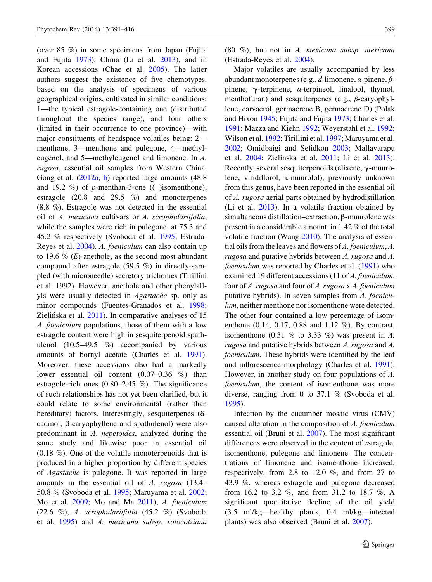(over 85 %) in some specimens from Japan (Fujita and Fujita [1973\)](#page-23-0), China (Li et al. [2013\)](#page-24-0), and in Korean accessions (Chae et al. [2005](#page-22-0)). The latter authors suggest the existence of five chemotypes, based on the analysis of specimens of various geographical origins, cultivated in similar conditions: 1—the typical estragole-containing one (distributed throughout the species range), and four others (limited in their occurrence to one province)—with major constituents of headspace volatiles being: 2 menthone, 3—menthone and pulegone, 4—methyleugenol, and 5—methyleugenol and limonene. In A. rugosa, essential oil samples from Western China, Gong et al. [\(2012a,](#page-23-0) [b](#page-23-0)) reported large amounts (48.8 and 19.2 %) of p-menthan-3-one ((−)isomenthone), estragole (20.8 and 29.5 %) and monoterpenes (8.8 %). Estragole was not detected in the essential oil of A. mexicana cultivars or A. scrophulariifolia, while the samples were rich in pulegone, at 75.3 and 45.2 % respectively (Svoboda et al. [1995;](#page-25-0) Estrada-Reyes et al. [2004\)](#page-23-0). A. foeniculum can also contain up to 19.6  $\%$  (E)-anethole, as the second most abundant compound after estragole (59.5 %) in directly-sampled (with microneedle) secretory trichomes (Tirillini et al. 1992). However, anethole and other phenylallyls were usually detected in Agastache sp. only as minor compounds (Fuentes-Granados et al. [1998](#page-23-0); Zielińska et al. [2011\)](#page-25-0). In comparative analyses of 15 A. foeniculum populations, those of them with a low estragole content were high in sesquiterpenoid spathulenol (10.5–49.5 %) accompanied by various amounts of bornyl acetate (Charles et al. [1991](#page-22-0)). Moreover, these accessions also had a markedly lower essential oil content (0.07–0.36 %) than estragole-rich ones (0.80–2.45 %). The significance of such relationships has not yet been clarified, but it could relate to some environmental (rather than hereditary) factors. Interestingly, sesquiterpenes (δcadinol, β-caryophyllene and spathulenol) were also predominant in A. nepetoides, analyzed during the same study and likewise poor in essential oil (0.18 %). One of the volatile monoterpenoids that is produced in a higher proportion by different species of Agastache is pulegone. It was reported in large amounts in the essential oil of A. rugosa (13.4– 50.8 % (Svoboda et al. [1995;](#page-25-0) Maruyama et al. [2002](#page-24-0); Mo et al. [2009;](#page-24-0) Mo and Ma [2011\)](#page-24-0), A. foeniculum (22.6 %), A. scrophulariifolia (45.2 %) (Svoboda et al. [1995\)](#page-25-0) and A. mexicana subsp. xolocotziana (80 %), but not in A. mexicana subsp. mexicana (Estrada-Reyes et al. [2004\)](#page-23-0).

Major volatiles are usually accompanied by less abundant monoterpenes (e.g., d-limonene,  $\alpha$ -pinene,  $\beta$ pinene,  $γ$ -terpinene,  $α$ -terpineol, linalool, thymol, menthofuran) and sesquiterpenes (e.g., β-caryophyllene, carvacrol, germacrene B, germacrene D) (Polak and Hixon [1945](#page-25-0); Fujita and Fujita [1973;](#page-23-0) Charles et al. [1991;](#page-22-0) Mazza and Kiehn [1992;](#page-24-0) Weyerstahl et al. [1992;](#page-25-0) Wilson et al. [1992](#page-25-0); Tirillini et al. [1997;](#page-25-0) Maruyama et al. [2002;](#page-24-0) Omidbaigi and Sefidkon [2003;](#page-25-0) Mallavarapu et al. [2004](#page-24-0); Zielinska et al. [2011](#page-25-0); Li et al. [2013](#page-24-0)). Recently, several sesquiterpenoids (elixene, γ-muurolene, viridiflorol, τ-muurolol), previously unknown from this genus, have been reported in the essential oil of A. rugosa aerial parts obtained by hydrodistillation (Li et al. [2013](#page-24-0)). In a volatile fraction obtained by simultaneous distillation–extraction, β-muurolene was present in a considerable amount, in 1.42 % of the total volatile fraction (Wang [2010](#page-25-0)). The analysis of essential oils from the leaves and flowers of A. foeniculum, A. rugosa and putative hybrids between A. rugosa and A. foeniculum was reported by Charles et al. [\(1991](#page-22-0)) who examined 19 different accessions (11 of A. foeniculum, four of A. rugosa and four of A. rugosa x A. foeniculum putative hybrids). In seven samples from A. foeniculum, neither menthone nor isomenthone were detected. The other four contained a low percentage of isomenthone (0.14, 0.17, 0.88 and 1.12 %). By contrast, isomenthone (0.31 % to 3.33 %) was present in  $\Lambda$ . rugosa and putative hybrids between A. rugosa and A. foeniculum. These hybrids were identified by the leaf and inflorescence morphology (Charles et al. [1991](#page-22-0)). However, in another study on four populations of A. foeniculum, the content of isomenthone was more diverse, ranging from 0 to 37.1 % (Svoboda et al. [1995\)](#page-25-0).

Infection by the cucumber mosaic virus (CMV) caused alteration in the composition of A. foeniculum essential oil (Bruni et al. [2007\)](#page-22-0). The most significant differences were observed in the content of estragole, isomenthone, pulegone and limonene. The concentrations of limonene and isomenthone increased, respectively, from 2.8 to 12.0 %, and from 27 to 43.9 %, whereas estragole and pulegone decreased from 16.2 to 3.2 %, and from 31.2 to 18.7 %. A significant quantitative decline of the oil yield (3.5 ml/kg—healthy plants, 0.4 ml/kg—infected plants) was also observed (Bruni et al. [2007](#page-22-0)).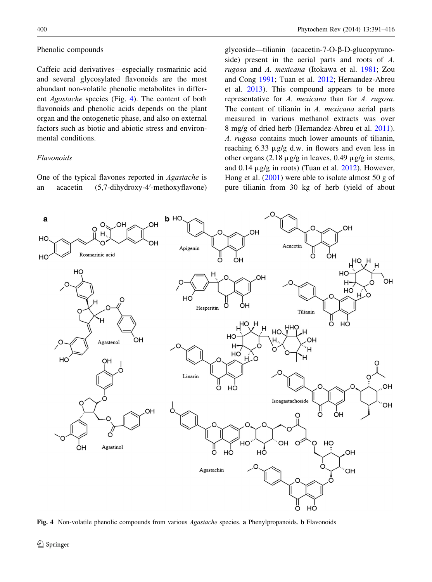#### Phenolic compounds

Caffeic acid derivatives—especially rosmarinic acid and several glycosylated flavonoids are the most abundant non-volatile phenolic metabolites in different Agastache species (Fig. 4). The content of both flavonoids and phenolic acids depends on the plant organ and the ontogenetic phase, and also on external factors such as biotic and abiotic stress and environmental conditions.

# Flavonoids

One of the typical flavones reported in Agastache is an acacetin (5,7-dihydroxy-4′-methoxyflavone) glycoside—tilianin (acacetin-7-O-β-D-glucopyranoside) present in the aerial parts and roots of A. rugosa and A. mexicana (Itokawa et al. [1981;](#page-23-0) Zou and Cong [1991;](#page-25-0) Tuan et al. [2012](#page-25-0); Hernandez-Abreu et al. [2013\)](#page-23-0). This compound appears to be more representative for A. mexicana than for A. rugosa. The content of tilianin in A. mexicana aerial parts measured in various methanol extracts was over 8 mg/g of dried herb (Hernandez-Abreu et al. [2011](#page-23-0)). A. rugosa contains much lower amounts of tilianin, reaching  $6.33 \mu g/g$  d.w. in flowers and even less in other organs  $(2.18 \mu g/g \text{ in leaves}, 0.49 \mu g/g \text{ in stems},$ and  $0.14 \mu$ g/g in roots) (Tuan et al. [2012](#page-25-0)). However, Hong et al. [\(2001](#page-23-0)) were able to isolate almost 50 g of pure tilianin from 30 kg of herb (yield of about



Fig. 4 Non-volatile phenolic compounds from various Agastache species. a Phenylpropanoids. b Flavonoids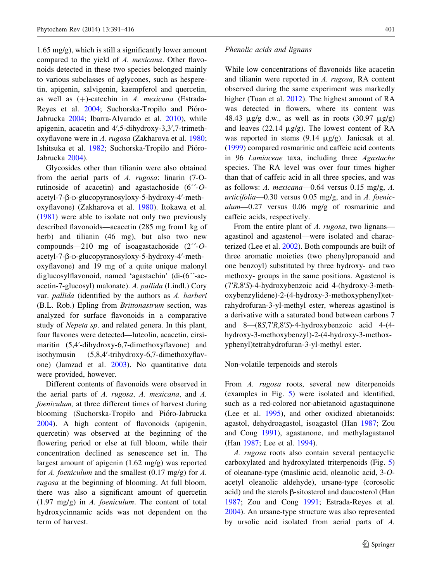$1.65 \text{ mg/g}$ , which is still a significantly lower amount compared to the yield of A. mexicana. Other flavonoids detected in these two species belonged mainly to various subclasses of aglycones, such as hesperetin, apigenin, salvigenin, kaempferol and quercetin, as well as  $(+)$ -catechin in A. mexicana (Estrada-Reyes et al. [2004;](#page-23-0) Suchorska-Tropiło and Pióro-Jabrucka [2004;](#page-25-0) Ibarra-Alvarado et al. [2010\)](#page-23-0), while apigenin, acacetin and 4′,5-dihydroxy-3,3′,7-trimethoxyflavone were in A. rugosa (Zakharova et al. [1980](#page-25-0); Ishitsuka et al. [1982](#page-23-0); Suchorska-Tropiło and Pióro-Jabrucka [2004\)](#page-25-0).

Glycosides other than tilianin were also obtained from the aerial parts of A. rugosa: linarin (7-Orutinoside of acacetin) and agastachoside  $(6^{\prime\prime}-0)$ acetyl-7-β-D-glucopyranosyloxy-5-hydroxy-4′-methoxyflavone) (Zakharova et al. [1980\)](#page-25-0). Itokawa et al. [\(1981](#page-23-0)) were able to isolate not only two previously described flavonoids—acacetin (285 mg from1 kg of herb) and tilianin (46 mg), but also two new compounds—210 mg of isoagastachoside  $(2^{\prime\prime}-0)$ acetyl-7-β-D-glucopyranosyloxy-5-hydroxy-4′-methoxyflavone) and 19 mg of a quite unique malonyl diglucosylflavonoid, named 'agastachin' (di-(6´´-acacetin-7-glucosyl) malonate). A. pallida (Lindl.) Cory var. pallida (identified by the authors as A. barberi (B.L. Rob.) Epling from Brittonastrum section, was analyzed for surface flavonoids in a comparative study of Nepeta sp. and related genera. In this plant, four flavones were detected—luteolin, acacetin, cirsimaritin (5,4′-dihydroxy-6,7-dimethoxyflavone) and isothymusin (5,8,4′-trihydroxy-6,7-dimethoxyflavone) (Jamzad et al. [2003\)](#page-23-0). No quantitative data were provided, however.

Different contents of flavonoids were observed in the aerial parts of A. rugosa, A. mexicana, and A. foeniculum, at three different times of harvest during blooming (Suchorska-Tropiło and Pióro-Jabrucka [2004\)](#page-25-0). A high content of flavonoids (apigenin, quercetin) was observed at the beginning of the flowering period or else at full bloom, while their concentration declined as senescence set in. The largest amount of apigenin (1.62 mg/g) was reported for A. foeniculum and the smallest  $(0.17 \text{ mg/g})$  for A. rugosa at the beginning of blooming. At full bloom, there was also a significant amount of quercetin  $(1.97 \text{ mg/g})$  in A. foeniculum. The content of total hydroxycinnamic acids was not dependent on the term of harvest.

## Phenolic acids and lignans

While low concentrations of flavonoids like acacetin and tilianin were reported in A. rugosa, RA content observed during the same experiment was markedly higher (Tuan et al. [2012](#page-25-0)). The highest amount of RA was detected in flowers, where its content was 48.43  $\mu$ g/g d.w., as well as in roots (30.97  $\mu$ g/g) and leaves  $(22.14 \text{ }\mu\text{g/g})$ . The lowest content of RA was reported in stems (9.14 μg/g). Janicsak et al. [\(1999](#page-23-0)) compared rosmarinic and caffeic acid contents in 96 Lamiaceae taxa, including three Agastache species. The RA level was over four times higher than that of caffeic acid in all three species, and was as follows: A. mexicana—0.64 versus 0.15 mg/g, A. urticifolia—0.30 versus  $0.05$  mg/g, and in A. foeniculum—0.27 versus 0.06 mg/g of rosmarinic and caffeic acids, respectively.

From the entire plant of A. rugosa, two lignans agastinol and agastenol—were isolated and characterized (Lee et al. [2002\)](#page-24-0). Both compounds are built of three aromatic moieties (two phenylpropanoid and one benzoyl) substituted by three hydroxy- and two methoxy- groups in the same positions. Agastenol is (7′R,8′S)-4-hydroxybenzoic acid 4-(hydroxy-3-methoxybenzylidene)-2-(4-hydroxy-3-methoxyphenyl)tetrahydrofuran-3-yl-methyl ester, whereas agastinol is a derivative with a saturated bond between carbons 7 and 8—(8S,7′R,8′S)-4-hydroxybenzoic acid 4-(4 hydroxy-3-methoxybenzyl)-2-(4-hydroxy-3-methoxyphenyl)tetrahydrofuran-3-yl-methyl ester.

Non-volatile terpenoids and sterols

From A. rugosa roots, several new diterpenoids (examples in Fig. [5](#page-11-0)) were isolated and identified, such as a red-colored nor-abietanoid agastaquinone (Lee et al. [1995\)](#page-24-0), and other oxidized abietanoids: agastol, dehydroagastol, isoagastol (Han [1987;](#page-23-0) Zou and Cong [1991](#page-25-0)), agastanone, and methylagastanol (Han [1987](#page-23-0); Lee et al. [1994](#page-24-0)).

A. rugosa roots also contain several pentacyclic carboxylated and hydroxylated triterpenoids (Fig. [5\)](#page-11-0) of oleanane-type (maslinic acid, oleanolic acid, 3-Oacetyl oleanolic aldehyde), ursane-type (corosolic acid) and the sterols  $β$ -sitosterol and daucosterol (Han [1987;](#page-23-0) Zou and Cong [1991](#page-25-0); Estrada-Reyes et al. [2004\)](#page-23-0). An ursane-type structure was also represented by ursolic acid isolated from aerial parts of A.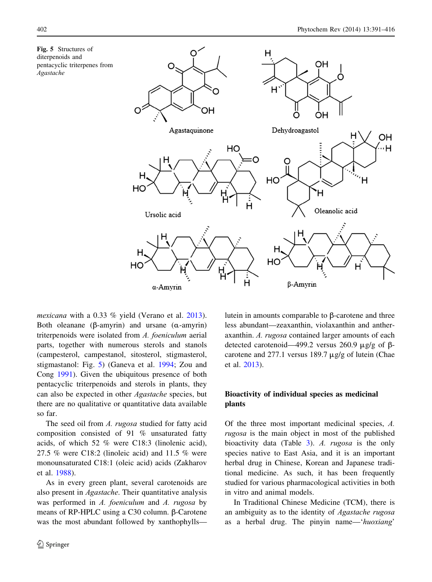<span id="page-11-0"></span>

mexicana with a 0.33 % yield (Verano et al. [2013](#page-25-0)). Both oleanane (β-amyrin) and ursane (α-amyrin) triterpenoids were isolated from A. foeniculum aerial parts, together with numerous sterols and stanols (campesterol, campestanol, sitosterol, stigmasterol, stigmastanol: Fig. 5) (Ganeva et al. [1994](#page-23-0); Zou and Cong [1991](#page-25-0)). Given the ubiquitous presence of both pentacyclic triterpenoids and sterols in plants, they can also be expected in other Agastache species, but there are no qualitative or quantitative data available so far.

The seed oil from A. *rugosa* studied for fatty acid composition consisted of 91 % unsaturated fatty acids, of which 52 % were C18:3 (linolenic acid), 27.5 % were C18:2 (linoleic acid) and 11.5 % were monounsaturated C18:1 (oleic acid) acids (Zakharov et al. [1988](#page-25-0)).

As in every green plant, several carotenoids are also present in Agastache. Their quantitative analysis was performed in A. foeniculum and A. rugosa by means of RP-HPLC using a C30 column. β-Carotene was the most abundant followed by xanthophyllslutein in amounts comparable to β-carotene and three less abundant—zeaxanthin, violaxanthin and antheraxanthin. A. rugosa contained larger amounts of each detected carotenoid—499.2 versus 260.9 μg/g of βcarotene and 277.1 versus 189.7 μg/g of lutein (Chae et al. [2013\)](#page-22-0).

# Bioactivity of individual species as medicinal plants

Of the three most important medicinal species, A. rugosa is the main object in most of the published bioactivity data (Table [3\)](#page-12-0). A. rugosa is the only species native to East Asia, and it is an important herbal drug in Chinese, Korean and Japanese traditional medicine. As such, it has been frequently studied for various pharmacological activities in both in vitro and animal models.

In Traditional Chinese Medicine (TCM), there is an ambiguity as to the identity of Agastache rugosa as a herbal drug. The pinyin name—'huoxiang'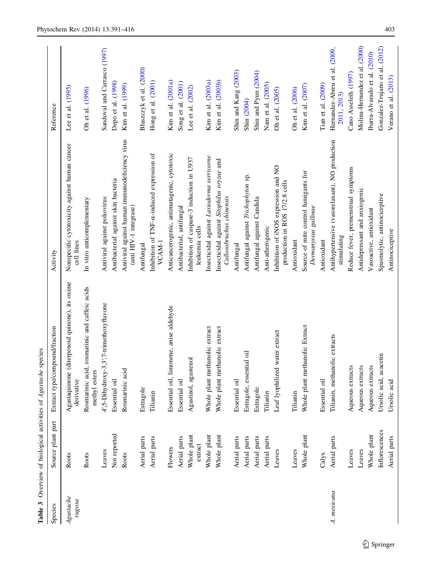<span id="page-12-0"></span>

|                    |                        | Table 3 Overview of biological activities of Agastache species |                                                                          |                                              |
|--------------------|------------------------|----------------------------------------------------------------|--------------------------------------------------------------------------|----------------------------------------------|
| Species            | Source plant part      | Extract type/compound/fraction                                 | Activity                                                                 | Reference                                    |
| Agastache<br>psoSn | Roots                  | Agastaquinone (diterpenoid quinone), its oxime<br>derivative   | Nonspecific cytotoxicity against human cancer<br>cell lines              | Lee et al. (1995)                            |
|                    | Roots                  | Rosmarinic acid, rosmarinic and caffeic acids<br>methyl esters | In vitro anticomplementary                                               | Oh et al. (1996)                             |
|                    | Leaves                 | 4',5-Dihydroxy-3,3',7-trimethoxyflavone                        | Antiviral against poliovirus                                             | Sandoval and Carrasco (1997)                 |
|                    | Not reported           | Essential oil                                                  | Antibacterial against skin bacteria                                      | Depo et al. (1998)                           |
|                    | Roots                  | Rosmarinic acid                                                | Antiviral against human immunodeficiency virus<br>(anti HIV-1 integrase) | Kim et al. (1999)                            |
|                    | Aerial parts           | Estragole                                                      | Antifungal                                                               | Błaszczyk et al. (2000)                      |
|                    | Aerial parts           | Tilianin                                                       | Inhibition of TNF-a-induced expression of<br>VCAM-1                      | Hong et al. $(2001)$                         |
|                    | Flowers                | Essential oil, limonene, anise aldehyde                        | Anticancerogenic, antimutagenic, cytotoxic                               | Kim et al. (2001a)                           |
|                    | Aerial parts           | Essential oil                                                  | Antibacterial, antifungal                                                | Song et al. (2001)                           |
|                    | Whole plant<br>extract | Agastinol, agastenol                                           | Inhibition of caspase-3 induction in U937<br>leukemia cells              | Lee et al. (2002)                            |
|                    | Whole plant            | Whole plant methanolic extract                                 | Insecticidal against Lasioderma serricorne                               | Kim et al. (2003a)                           |
|                    | Whole plant            | plant methanolic extract<br>Whole                              | Insecticidal against Sitophilus oryzae and<br>Callosobruchus chinensis   | Kim et al. (2003b)                           |
|                    | Aerial parts           | Essential oil                                                  | Antifungal                                                               | Shin and Kang (2003)                         |
|                    | Aerial parts           | Estragole, essential oil                                       | Antifungal against Trichophyton sp.                                      | Shin (2004)                                  |
|                    | Aerial parts           | Estragole                                                      | Antifungal against Candida                                               | Shin and Pyun (2004)                         |
|                    | Aerial parts           | Tilianin                                                       | Anti-atherogenic                                                         | Nam et al. (2005)                            |
|                    | Leaves                 | Leaf lyophilized water extract                                 | Inhibition of iNOS expression and NO<br>production in ROS 17/2.8 cells   | Oh et al. (2005)                             |
|                    | Leaves                 | Tilianin                                                       | Antioxidant                                                              | Oh et al. (2006)                             |
|                    | Whole plant            | Whole plant methanolic Extract                                 | Source of mite control fumigants for<br>Dermanyssus gallinae             | Kim et al. (2007)                            |
|                    | Calyx                  | Essential oil                                                  | Antioxidant                                                              | Tian et al. (2009)                           |
| A. mexicana        | Aerial parts           | in, methanolic extracts<br>Tiliani                             | Antihypertensive (vasorelaxant), NO production<br>stimulating            | Hernandez-Abreu et al. (2009,<br>2011, 2013) |
|                    | Leaves                 | Aqueous extracts                                               | Reduce fever, premenstrual symptoms                                      | Cano Asseleih (1997)                         |
|                    | Leaves                 | Aqueous extracts                                               | Antidepressant and anxiogenic                                            | Molina-Hernandez et al. (2000)               |
|                    | Whole plant            | Aqueous extracts                                               | Vasoactive, antioxidant                                                  | Ibarra-Alvarado et al. (2010)                |
|                    | Inflorescences         | Ursolic acid, acacetin                                         | Spasmolytic, antinociceptive                                             | Gonzalez-Trujano et al. (2012)               |
|                    | Aerial parts           | Ursolic acid                                                   | Antinociceptive                                                          | Verano et al. $(2013)$                       |

 $\underline{\textcircled{\tiny 2}}$  Springer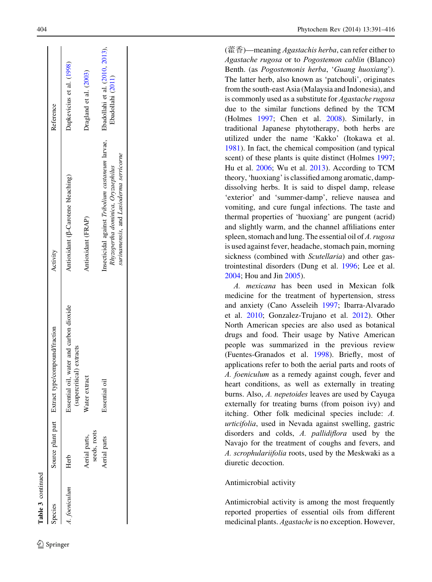| Table 3 continued |                               |                                                                     |                                                                                                                                   |                                                      |
|-------------------|-------------------------------|---------------------------------------------------------------------|-----------------------------------------------------------------------------------------------------------------------------------|------------------------------------------------------|
| Species           |                               | Source plant part Extract type/compound/fraction                    | Activity                                                                                                                          | Reference                                            |
| A. foeniculum     | Herb                          | Essential oil, water and carbon dioxide<br>(supercritical) extracts | Antioxidant (B-Carotene bleaching)                                                                                                | Dapkevicius et al. (1998)                            |
|                   | seeds, roots<br>Aerial parts, | extract<br>Water                                                    | Antioxidant (FRAP)                                                                                                                | Dragland et al. (2003)                               |
|                   | Aerial parts                  | Essential oil                                                       | Insecticidal against Tribolium castaneum larvae,<br>surinamensis, and Lasioderma serricorne<br>Rhyzopertha dominica, Oryzaephilus | Ebadollahi et al. (2010, 2013),<br>Ebadollahi (2011) |
|                   |                               |                                                                     |                                                                                                                                   |                                                      |

(藿香)—meaning *Agastachis herba*, can refer either to Agastache rugosa or to Pogostemon cablin (Blanco) Benth. (as Pogostemonis herba, 'Guang huoxiang'). The latter herb, also known as 'patchouli', originates from the south-east Asia (Malaysia and Indonesia), and is commonly used as a substitute for *Agastache rugosa* due to the similar functions defined by the TCM (Holmes [1997;](#page-23-0) Chen et al. [2008\)](#page-22-0). Similarly, in traditional Japanese phytotherapy, both herbs are utilized under the name 'Kakko' (Itokawa et al. [1981\)](#page-23-0). In fact, the chemical composition (and typical scent) of these plants is quite distinct (Holmes [1997](#page-23-0); Hu et al. [2006](#page-23-0); Wu et al. [2013](#page-25-0)). According to TCM theory, 'huoxiang' is classified among aromatic, dampdissolving herbs. It is said to dispel damp, release 'exterior' and 'summer-damp', relieve nausea and vomiting, and cure fungal infections. The taste and thermal properties of 'huoxiang' are pungent (acrid) and slightly warm, and the channel affiliations enter spleen, stomach and lung. The essential oil of A. rugosa is used against fever, headache, stomach pain, morning sickness (combined with *Scutellaria*) and other gastrointestinal disorders (Dung et al. [1996;](#page-23-0) Lee et al. [2004;](#page-24-0) Hou and Jin [2005\)](#page-23-0).

A. mexicana has been used in Mexican folk medicine for the treatment of hypertension, stress and anxiety (Cano Asseleih [1997;](#page-22-0) Ibarra-Alvarado et al. [2010;](#page-23-0) Gonzalez-Trujano et al. [2012](#page-23-0)). Other North American species are also used as botanical drugs and food. Their usage by Native American people was summarized in the previous review (Fuentes-Granados et al. [1998](#page-23-0)). Briefly, most of applications refer to both the aerial parts and roots of A. foeniculum as a remedy against cough, fever and heart conditions, as well as externally in treating burns. Also, A. nepetoides leaves are used by Cayuga externally for treating burns (from poison ivy) and itching. Other folk medicinal species include: A. urticifolia, used in Nevada against swelling, gastric disorders and colds, A. pallidiflora used by the Navajo for the treatment of coughs and fevers, and A. scrophulariifolia roots, used by the Meskwaki as a diuretic decoction.

# Antimicrobial activity

Antimicrobial activity is among the most frequently reported properties of essential oils from different medicinal plants. Agastache is no exception. However,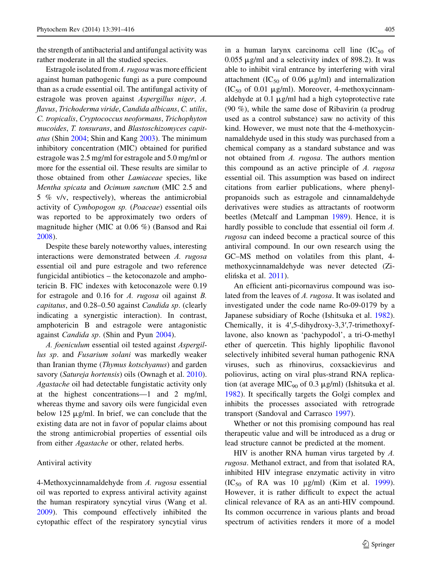the strength of antibacterial and antifungal activity was rather moderate in all the studied species.

Estragole isolated from A. rugosa was more efficient against human pathogenic fungi as a pure compound than as a crude essential oil. The antifungal activity of estragole was proven against Aspergillus niger, A. flavus, Trichoderma viride, Candida albicans, C. utilis, C. tropicalis, Cryptococcus neoformans, Trichophyton mucoides, T. tonsurans, and Blastoschizomyces capitatus (Shin [2004;](#page-25-0) Shin and Kang [2003\)](#page-25-0). The minimum inhibitory concentration (MIC) obtained for purified estragole was 2.5 mg/ml for estragole and 5.0 mg/ml or more for the essential oil. These results are similar to those obtained from other Lamiaceae species, like Mentha spicata and Ocimum sanctum (MIC 2.5 and 5 % v/v, respectively), whereas the antimicrobial activity of Cymbopogon sp. (Poaceae) essential oils was reported to be approximately two orders of magnitude higher (MIC at 0.06 %) (Bansod and Rai [2008\)](#page-22-0).

Despite these barely noteworthy values, interesting interactions were demonstrated between A. rugosa essential oil and pure estragole and two reference fungicidal antibiotics – the ketoconazole and amphotericin B. FIC indexes with ketoconazole were 0.19 for estragole and 0.16 for A. rugosa oil against B. capitatus, and 0.28–0.50 against Candida sp. (clearly indicating a synergistic interaction). In contrast, amphotericin B and estragole were antagonistic against Candida sp. (Shin and Pyun [2004](#page-25-0)).

A. foeniculum essential oil tested against Aspergillus sp. and Fusarium solani was markedly weaker than Iranian thyme (Thymus kotschyanus) and garden savory (Satureja hortensis) oils (Ownagh et al. [2010](#page-25-0)). Agastache oil had detectable fungistatic activity only at the highest concentrations—1 and 2 mg/ml, whereas thyme and savory oils were fungicidal even below  $125 \mu g/ml$ . In brief, we can conclude that the existing data are not in favor of popular claims about the strong antimicrobial properties of essential oils from either Agastache or other, related herbs.

#### Antiviral activity

4-Methoxycinnamaldehyde from A. rugosa essential oil was reported to express antiviral activity against the human respiratory syncytial virus (Wang et al. [2009\)](#page-25-0). This compound effectively inhibited the cytopathic effect of the respiratory syncytial virus in a human larynx carcinoma cell line  $(IC_{50}$  of  $0.055 \mu$ g/ml and a selectivity index of 898.2). It was able to inhibit viral entrance by interfering with viral attachment (IC<sub>50</sub> of 0.06  $\mu$ g/ml) and internalization ( $IC_{50}$  of 0.01  $\mu$ g/ml). Moreover, 4-methoxycinnamaldehyde at  $0.1 \mu g/ml$  had a high cytoprotective rate (90 %), while the same dose of Ribavirin (a prodrug used as a control substance) saw no activity of this kind. However, we must note that the 4-methoxycinnamaldehyde used in this study was purchased from a chemical company as a standard substance and was not obtained from A. rugosa. The authors mention this compound as an active principle of A. rugosa essential oil. This assumption was based on indirect citations from earlier publications, where phenylpropanoids such as estragole and cinnamaldehyde derivatives were studies as attractants of rootworm beetles (Metcalf and Lampman [1989\)](#page-24-0). Hence, it is hardly possible to conclude that essential oil form A. rugosa can indeed become a practical source of this antiviral compound. In our own research using the GC–MS method on volatiles from this plant, 4 methoxycinnamaldehyde was never detected (Zi-elińska et al. [2011](#page-25-0)).

An efficient anti-picornavirus compound was isolated from the leaves of A. rugosa. It was isolated and investigated under the code name Ro-09-0179 by a Japanese subsidiary of Roche (Ishitsuka et al. [1982](#page-23-0)). Chemically, it is 4′,5-dihydroxy-3,3′,7-trimethoxyflavone, also known as 'pachypodol', a tri-O-methyl ether of quercetin. This highly lipophilic flavonol selectively inhibited several human pathogenic RNA viruses, such as rhinovirus, coxsackievirus and poliovirus, acting on viral plus-strand RNA replication (at average MIC<sub>90</sub> of 0.3  $\mu$ g/ml) (Ishitsuka et al. [1982\)](#page-23-0). It specifically targets the Golgi complex and inhibits the processes associated with retrograde transport (Sandoval and Carrasco [1997](#page-25-0)).

Whether or not this promising compound has real therapeutic value and will be introduced as a drug or lead structure cannot be predicted at the moment.

HIV is another RNA human virus targeted by A. rugosa. Methanol extract, and from that isolated RA, inhibited HIV integrase enzymatic activity in vitro  $(IC_{50}$  of RA was 10  $\mu$ g/ml) (Kim et al. [1999](#page-24-0)). However, it is rather difficult to expect the actual clinical relevance of RA as an anti-HIV compound. Its common occurrence in various plants and broad spectrum of activities renders it more of a model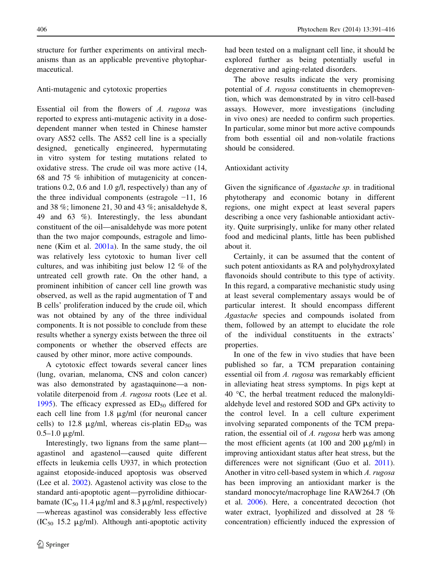structure for further experiments on antiviral mechanisms than as an applicable preventive phytopharmaceutical.

# Anti-mutagenic and cytotoxic properties

Essential oil from the flowers of A. rugosa was reported to express anti-mutagenic activity in a dosedependent manner when tested in Chinese hamster ovary AS52 cells. The AS52 cell line is a specially designed, genetically engineered, hypermutating in vitro system for testing mutations related to oxidative stress. The crude oil was more active (14, 68 and 75 % inhibition of mutagenicity at concentrations 0.2, 0.6 and 1.0 g/l, respectively) than any of the three individual components (estragole −11, 16 and 38 %; limonene 21, 30 and 43 %; anisaldehyde 8, 49 and 63 %). Interestingly, the less abundant constituent of the oil—anisaldehyde was more potent than the two major compounds, estragole and limonene (Kim et al. [2001a](#page-24-0)). In the same study, the oil was relatively less cytotoxic to human liver cell cultures, and was inhibiting just below 12 % of the untreated cell growth rate. On the other hand, a prominent inhibition of cancer cell line growth was observed, as well as the rapid augmentation of T and B cells' proliferation induced by the crude oil, which was not obtained by any of the three individual components. It is not possible to conclude from these results whether a synergy exists between the three oil components or whether the observed effects are caused by other minor, more active compounds.

A cytotoxic effect towards several cancer lines (lung, ovarian, melanoma, CNS and colon cancer) was also demonstrated by agastaquinone—a nonvolatile diterpenoid from A. rugosa roots (Lee et al. [1995\)](#page-24-0). The efficacy expressed as  $ED_{50}$  differed for each cell line from 1.8 μg/ml (for neuronal cancer cells) to 12.8  $\mu$ g/ml, whereas cis-platin ED<sub>50</sub> was  $0.5-1.0 \mu$ g/ml.

Interestingly, two lignans from the same plant agastinol and agastenol—caused quite different effects in leukemia cells U937, in which protection against etoposide-induced apoptosis was observed (Lee et al. [2002](#page-24-0)). Agastenol activity was close to the standard anti-apoptotic agent—pyrrolidine dithiocarbamate (IC<sub>50</sub> 11.4  $\mu$ g/ml and 8.3  $\mu$ g/ml, respectively) —whereas agastinol was considerably less effective  $(IC_{50}$  15.2  $\mu$ g/ml). Although anti-apoptotic activity had been tested on a malignant cell line, it should be explored further as being potentially useful in degenerative and aging-related disorders.

The above results indicate the very promising potential of A. rugosa constituents in chemoprevention, which was demonstrated by in vitro cell-based assays. However, more investigations (including in vivo ones) are needed to confirm such properties. In particular, some minor but more active compounds from both essential oil and non-volatile fractions should be considered.

# Antioxidant activity

Given the significance of Agastache sp. in traditional phytotherapy and economic botany in different regions, one might expect at least several papers describing a once very fashionable antioxidant activity. Quite surprisingly, unlike for many other related food and medicinal plants, little has been published about it.

Certainly, it can be assumed that the content of such potent antioxidants as RA and polyhydroxylated flavonoids should contribute to this type of activity. In this regard, a comparative mechanistic study using at least several complementary assays would be of particular interest. It should encompass different Agastache species and compounds isolated from them, followed by an attempt to elucidate the role of the individual constituents in the extracts' properties.

In one of the few in vivo studies that have been published so far, a TCM preparation containing essential oil from A. rugosa was remarkably efficient in alleviating heat stress symptoms. In pigs kept at 40 °C, the herbal treatment reduced the malonyldialdehyde level and restored SOD and GPx activity to the control level. In a cell culture experiment involving separated components of the TCM preparation, the essential oil of A. rugosa herb was among the most efficient agents (at 100 and 200  $\mu$ g/ml) in improving antioxidant status after heat stress, but the differences were not significant (Guo et al. [2011](#page-23-0)). Another in vitro cell-based system in which A. rugosa has been improving an antioxidant marker is the standard monocyte/macrophage line RAW264.7 (Oh et al. [2006](#page-24-0)). Here, a concentrated decoction (hot water extract, lyophilized and dissolved at 28 % concentration) efficiently induced the expression of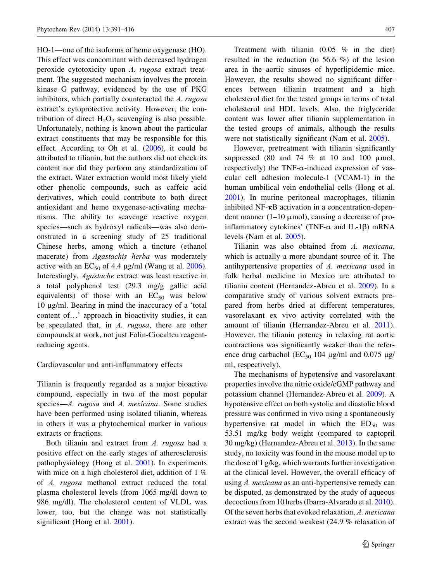HO-1—one of the isoforms of heme oxygenase (HO). This effect was concomitant with decreased hydrogen peroxide cytotoxicity upon A. rugosa extract treatment. The suggested mechanism involves the protein kinase G pathway, evidenced by the use of PKG inhibitors, which partially counteracted the A. rugosa extract's cytoprotective activity. However, the contribution of direct  $H_2O_2$  scavenging is also possible. Unfortunately, nothing is known about the particular extract constituents that may be responsible for this effect. According to Oh et al.  $(2006)$  $(2006)$ , it could be attributed to tilianin, but the authors did not check its content nor did they perform any standardization of the extract. Water extraction would most likely yield other phenolic compounds, such as caffeic acid derivatives, which could contribute to both direct antioxidant and heme oxygenase-activating mechanisms. The ability to scavenge reactive oxygen species—such as hydroxyl radicals—was also demonstrated in a screening study of 25 traditional Chinese herbs, among which a tincture (ethanol macerate) from Agastachis herba was moderately active with an  $EC_{50}$  of 4.4  $\mu$ g/ml (Wang et al. [2006](#page-25-0)). Interestingly, Agastache extract was least reactive in a total polyphenol test (29.3 mg/g gallic acid equivalents) of those with an  $EC_{50}$  was below 10 µg/ml. Bearing in mind the inaccuracy of a 'total content of…' approach in bioactivity studies, it can be speculated that, in A. rugosa, there are other compounds at work, not just Folin-Ciocalteu reagentreducing agents.

#### Cardiovascular and anti-inflammatory effects

Tilianin is frequently regarded as a major bioactive compound, especially in two of the most popular species—A. rugosa and A. mexicana. Some studies have been performed using isolated tilianin, whereas in others it was a phytochemical marker in various extracts or fractions.

Both tilianin and extract from A. rugosa had a positive effect on the early stages of atherosclerosis pathophysiology (Hong et al. [2001](#page-23-0)). In experiments with mice on a high cholesterol diet, addition of 1 % of A. rugosa methanol extract reduced the total plasma cholesterol levels (from 1065 mg/dl down to 986 mg/dl). The cholesterol content of VLDL was lower, too, but the change was not statistically significant (Hong et al. [2001](#page-23-0)).

Treatment with tilianin (0.05 % in the diet) resulted in the reduction (to 56.6 %) of the lesion area in the aortic sinuses of hyperlipidemic mice. However, the results showed no significant differences between tilianin treatment and a high cholesterol diet for the tested groups in terms of total cholesterol and HDL levels. Also, the triglyceride content was lower after tilianin supplementation in the tested groups of animals, although the results were not statistically significant (Nam et al. [2005\)](#page-24-0).

However, pretreatment with tilianin significantly suppressed (80 and 74 % at 10 and 100 μmol, respectively) the TNF-α-induced expression of vascular cell adhesion molecule-1 (VCAM-1) in the human umbilical vein endothelial cells (Hong et al. [2001\)](#page-23-0). In murine peritoneal macrophages, tilianin inhibited NF-κB activation in a concentration-dependent manner (1–10  $\mu$ mol), causing a decrease of proinflammatory cytokines' (TNF-α and IL-1β) mRNA levels (Nam et al. [2005](#page-24-0)).

Tilianin was also obtained from A. mexicana, which is actually a more abundant source of it. The antihypertensive properties of A. mexicana used in folk herbal medicine in Mexico are attributed to tilianin content (Hernandez-Abreu et al. [2009](#page-23-0)). In a comparative study of various solvent extracts prepared from herbs dried at different temperatures, vasorelaxant ex vivo activity correlated with the amount of tilianin (Hernandez-Abreu et al. [2011](#page-23-0)). However, the tilianin potency in relaxing rat aortic contractions was significantly weaker than the reference drug carbachol ( $EC_{50}$  104  $\mu$ g/ml and 0.075  $\mu$ g/ ml, respectively).

The mechanisms of hypotensive and vasorelaxant properties involve the nitric oxide/cGMP pathway and potassium channel (Hernandez-Abreu et al. [2009](#page-23-0)). A hypotensive effect on both systolic and diastolic blood pressure was confirmed in vivo using a spontaneously hypertensive rat model in which the  $ED_{50}$  was 53.51 mg/kg body weight (compared to captopril 30 mg/kg) (Hernandez-Abreu et al. [2013\)](#page-23-0). In the same study, no toxicity was found in the mouse model up to the dose of 1 g/kg, which warrants further investigation at the clinical level. However, the overall efficacy of using A. mexicana as an anti-hypertensive remedy can be disputed, as demonstrated by the study of aqueous decoctions from 10 herbs (Ibarra-Alvarado et al. [2010](#page-23-0)). Of the seven herbs that evoked relaxation, A. mexicana extract was the second weakest (24.9 % relaxation of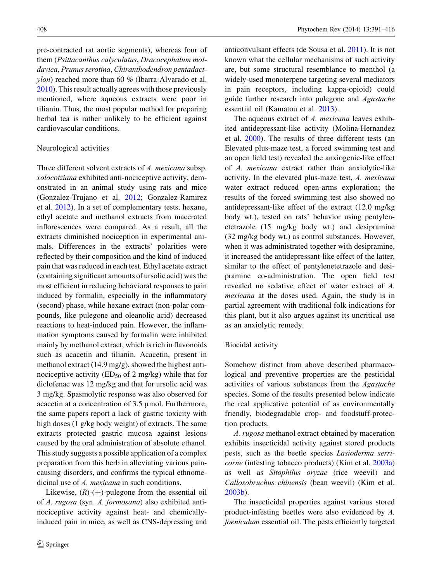pre-contracted rat aortic segments), whereas four of them (Psittacanthus calyculatus, Dracocephalum moldavica, Prunus serotina, Chiranthodendron pentadactylon) reached more than 60 % (Ibarra-Alvarado et al. [2010\)](#page-23-0). This result actually agrees with those previously mentioned, where aqueous extracts were poor in tilianin. Thus, the most popular method for preparing herbal tea is rather unlikely to be efficient against cardiovascular conditions.

#### Neurological activities

Three different solvent extracts of A. mexicana subsp. xolocotziana exhibited anti-nociceptive activity, demonstrated in an animal study using rats and mice (Gonzalez-Trujano et al. [2012](#page-23-0); Gonzalez-Ramirez et al. [2012\)](#page-23-0). In a set of complementary tests, hexane, ethyl acetate and methanol extracts from macerated inflorescences were compared. As a result, all the extracts diminished nociception in experimental animals. Differences in the extracts' polarities were reflected by their composition and the kind of induced pain that was reduced in each test. Ethyl acetate extract (containing significant amounts of ursolic acid) was the most efficient in reducing behavioral responses to pain induced by formalin, especially in the inflammatory (second) phase, while hexane extract (non-polar compounds, like pulegone and oleanolic acid) decreased reactions to heat-induced pain. However, the inflammation symptoms caused by formalin were inhibited mainly by methanol extract, which is rich in flavonoids such as acacetin and tilianin. Acacetin, present in methanol extract (14.9 mg/g), showed the highest antinociceptive activity  $(ED_{50}$  of 2 mg/kg) while that for diclofenac was 12 mg/kg and that for ursolic acid was 3 mg/kg. Spasmolytic response was also observed for acacetin at a concentration of 3.5 µmol. Furthermore, the same papers report a lack of gastric toxicity with high doses (1 g/kg body weight) of extracts. The same extracts protected gastric mucosa against lesions caused by the oral administration of absolute ethanol. This study suggests a possible application of a complex preparation from this herb in alleviating various paincausing disorders, and confirms the typical ethnomedicinal use of A. mexicana in such conditions.

Likewise,  $(R)-(+)$ -pulegone from the essential oil of A. rugosa (syn. A. formosana) also exhibited antinociceptive activity against heat- and chemicallyinduced pain in mice, as well as CNS-depressing and anticonvulsant effects (de Sousa et al. [2011\)](#page-23-0). It is not known what the cellular mechanisms of such activity are, but some structural resemblance to menthol (a widely-used monoterpene targeting several mediators in pain receptors, including kappa-opioid) could guide further research into pulegone and Agastache essential oil (Kamatou et al. [2013\)](#page-23-0).

The aqueous extract of A. mexicana leaves exhibited antidepressant-like activity (Molina-Hernandez et al. [2000](#page-24-0)). The results of three different tests (an Elevated plus-maze test, a forced swimming test and an open field test) revealed the anxiogenic-like effect of A. mexicana extract rather than anxiolytic-like activity. In the elevated plus-maze test, A. mexicana water extract reduced open-arms exploration; the results of the forced swimming test also showed no antidepressant-like effect of the extract (12.0 mg/kg body wt.), tested on rats' behavior using pentylenetetrazole (15 mg/kg body wt.) and desipramine (32 mg/kg body wt.) as control substances. However, when it was administrated together with desipramine, it increased the antidepressant-like effect of the latter, similar to the effect of pentylenetetrazole and desipramine co-administration. The open field test revealed no sedative effect of water extract of A. mexicana at the doses used. Again, the study is in partial agreement with traditional folk indications for this plant, but it also argues against its uncritical use as an anxiolytic remedy.

#### Biocidal activity

Somehow distinct from above described pharmacological and preventive properties are the pesticidal activities of various substances from the Agastache species. Some of the results presented below indicate the real applicative potential of as environmentally friendly, biodegradable crop- and foodstuff-protection products.

A. rugosa methanol extract obtained by maceration exhibits insecticidal activity against stored products pests, such as the beetle species Lasioderma serricorne (infesting tobacco products) (Kim et al. [2003a\)](#page-24-0) as well as Sitophilus oryzae (rice weevil) and Callosobruchus chinensis (bean weevil) (Kim et al. [2003b\)](#page-24-0).

The insecticidal properties against various stored product-infesting beetles were also evidenced by A. foeniculum essential oil. The pests efficiently targeted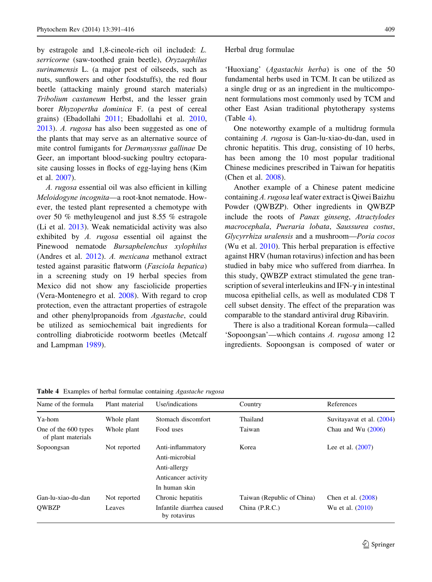by estragole and 1,8-cineole-rich oil included: L. serricorne (saw-toothed grain beetle), Oryzaephilus surinamensis L. (a major pest of oilseeds, such as nuts, sunflowers and other foodstuffs), the red flour beetle (attacking mainly ground starch materials) Tribolium castaneum Herbst, and the lesser grain borer Rhyzopertha dominica F. (a pest of cereal grains) (Ebadollahi [2011](#page-23-0); Ebadollahi et al. [2010,](#page-23-0) [2013\)](#page-23-0). A. rugosa has also been suggested as one of the plants that may serve as an alternative source of mite control fumigants for Dermanyssus gallinae De Geer, an important blood-sucking poultry ectoparasite causing losses in flocks of egg-laying hens (Kim et al. [2007](#page-24-0)).

A. rugosa essential oil was also efficient in killing Meloidogyne incognita—a root-knot nematode. However, the tested plant represented a chemotype with over 50 % methyleugenol and just 8.55 % estragole (Li et al. [2013\)](#page-24-0). Weak nematicidal activity was also exhibited by A. rugosa essential oil against the Pinewood nematode Bursaphelenchus xylophilus (Andres et al. [2012](#page-22-0)). A. mexicana methanol extract tested against parasitic flatworm (Fasciola hepatica) in a screening study on 19 herbal species from Mexico did not show any fasciolicide properties (Vera-Montenegro et al. [2008](#page-25-0)). With regard to crop protection, even the attractant properties of estragole and other phenylpropanoids from Agastache, could be utilized as semiochemical bait ingredients for controlling diabroticide rootworm beetles (Metcalf and Lampman [1989](#page-24-0)).

#### Herbal drug formulae

'Huoxiang' (Agastachis herba) is one of the 50 fundamental herbs used in TCM. It can be utilized as a single drug or as an ingredient in the multicomponent formulations most commonly used by TCM and other East Asian traditional phytotherapy systems (Table 4).

One noteworthy example of a multidrug formula containing A. rugosa is Gan-lu-xiao-du-dan, used in chronic hepatitis. This drug, consisting of 10 herbs, has been among the 10 most popular traditional Chinese medicines prescribed in Taiwan for hepatitis (Chen et al. [2008](#page-22-0)).

Another example of a Chinese patent medicine containing A. rugosa leaf water extract is Qiwei Baizhu Powder (QWBZP). Other ingredients in QWBZP include the roots of Panax ginseng, Atractylodes macrocephala, Pueraria lobata, Saussurea costus, Glycyrrhiza uralensis and a mushroom—Poria cocos (Wu et al. [2010\)](#page-25-0). This herbal preparation is effective against HRV (human rotavirus) infection and has been studied in baby mice who suffered from diarrhea. In this study, QWBZP extract stimulated the gene transcription of several interleukins and IFN- $\gamma$  in intestinal mucosa epithelial cells, as well as modulated CD8 T cell subset density. The effect of the preparation was comparable to the standard antiviral drug Ribavirin.

There is also a traditional Korean formula—called 'Sopoongsan'—which contains A. rugosa among 12 ingredients. Sopoongsan is composed of water or

Table 4 Examples of herbal formulae containing Agastache rugosa

| Name of the formula                        | Plant material | Use/indications                                                                             | Country                    | References                |
|--------------------------------------------|----------------|---------------------------------------------------------------------------------------------|----------------------------|---------------------------|
| Ya-hom                                     | Whole plant    | Stomach discomfort                                                                          | Thailand                   | Suvitayavat et al. (2004) |
| One of the 600 types<br>of plant materials | Whole plant    | Food uses                                                                                   | Taiwan                     | Chau and Wu $(2006)$      |
| Sopoongsan                                 | Not reported   | Anti-inflammatory<br>Anti-microbial<br>Anti-allergy<br>Anticancer activity<br>In human skin | Korea                      | Lee et al. $(2007)$       |
| Gan-lu-xiao-du-dan                         | Not reported   | Chronic hepatitis                                                                           | Taiwan (Republic of China) | Chen et al. $(2008)$      |
| OWBZP                                      | Leaves         | Infantile diarrhea caused<br>by rotavirus                                                   | China (P.R.C.)             | Wu et al. (2010)          |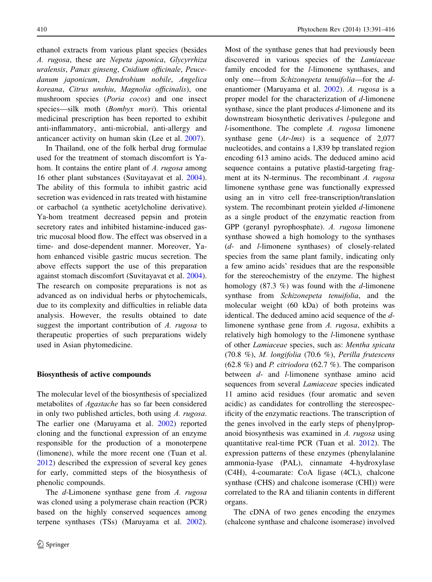ethanol extracts from various plant species (besides A. rugosa, these are Nepeta japonica, Glycyrrhiza uralensis, Panax ginseng, Cnidium officinale, Peucedanum japonicum, Dendrobium nobile, Angelica koreana, Citrus unshiu, Magnolia officinalis), one mushroom species (Poria cocos) and one insect species—silk moth (Bombyx mori). This oriental medicinal prescription has been reported to exhibit anti-inflammatory, anti-microbial, anti-allergy and anticancer activity on human skin (Lee et al. [2007](#page-24-0)).

In Thailand, one of the folk herbal drug formulae used for the treatment of stomach discomfort is Yahom. It contains the entire plant of A. rugosa among 16 other plant substances (Suvitayavat et al. [2004](#page-25-0)). The ability of this formula to inhibit gastric acid secretion was evidenced in rats treated with histamine or carbachol (a synthetic acetylcholine derivative). Ya-hom treatment decreased pepsin and protein secretory rates and inhibited histamine-induced gastric mucosal blood flow. The effect was observed in a time- and dose-dependent manner. Moreover, Yahom enhanced visible gastric mucus secretion. The above effects support the use of this preparation against stomach discomfort (Suvitayavat et al. [2004](#page-25-0)). The research on composite preparations is not as advanced as on individual herbs or phytochemicals, due to its complexity and difficulties in reliable data analysis. However, the results obtained to date suggest the important contribution of A. rugosa to therapeutic properties of such preparations widely used in Asian phytomedicine.

#### Biosynthesis of active compounds

The molecular level of the biosynthesis of specialized metabolites of Agastache has so far been considered in only two published articles, both using A. rugosa. The earlier one (Maruyama et al. [2002\)](#page-24-0) reported cloning and the functional expression of an enzyme responsible for the production of a monoterpene (limonene), while the more recent one (Tuan et al. [2012\)](#page-25-0) described the expression of several key genes for early, committed steps of the biosynthesis of phenolic compounds.

The d-Limonene synthase gene from A. rugosa was cloned using a polymerase chain reaction (PCR) based on the highly conserved sequences among terpene synthases (TSs) (Maruyama et al. [2002](#page-24-0)). Most of the synthase genes that had previously been discovered in various species of the Lamiaceae family encoded for the *l*-limonene synthases, and only one—from Schizonepeta tenuifolia—for the denantiomer (Maruyama et al. [2002](#page-24-0)). A. rugosa is a proper model for the characterization of d-limonene synthase, since the plant produces  $d$ -limonene and its downstream biosynthetic derivatives l-pulegone and  $l$ -isomenthone. The complete  $A$ . rugosa limonene synthase gene  $(Ar-lms)$  is a sequence of 2,077 nucleotides, and contains a 1,839 bp translated region encoding 613 amino acids. The deduced amino acid sequence contains a putative plastid-targeting fragment at its N-terminus. The recombinant A. rugosa limonene synthase gene was functionally expressed using an in vitro cell free-transcription/translation system. The recombinant protein yielded d-limonene as a single product of the enzymatic reaction from GPP (geranyl pyrophosphate). A. rugosa limonene synthase showed a high homology to the synthases (d- and l-limonene synthases) of closely-related species from the same plant family, indicating only a few amino acids' residues that are the responsible for the stereochemistry of the enzyme. The highest homology (87.3 %) was found with the  $d$ -limonene synthase from Schizonepeta tenuifolia, and the molecular weight (60 kDa) of both proteins was identical. The deduced amino acid sequence of the dlimonene synthase gene from A. rugosa, exhibits a relatively high homology to the l-limonene synthase of other Lamiaceae species, such as: Mentha spicata (70.8 %), M. longifolia (70.6 %), Perilla frutescens  $(62.8\%)$  and P. citriodora  $(62.7\%)$ . The comparison between d- and l-limonene synthase amino acid sequences from several Lamiaceae species indicated 11 amino acid residues (four aromatic and seven acidic) as candidates for controlling the stereospecificity of the enzymatic reactions. The transcription of the genes involved in the early steps of phenylpropanoid biosynthesis was examined in A. rugosa using quantitative real-time PCR (Tuan et al. [2012\)](#page-25-0). The expression patterns of these enzymes (phenylalanine ammonia-lyase (PAL), cinnamate 4-hydroxylase (C4H), 4-coumarate: CoA ligase (4CL), chalcone synthase (CHS) and chalcone isomerase (CHI)) were correlated to the RA and tilianin contents in different organs.

The cDNA of two genes encoding the enzymes (chalcone synthase and chalcone isomerase) involved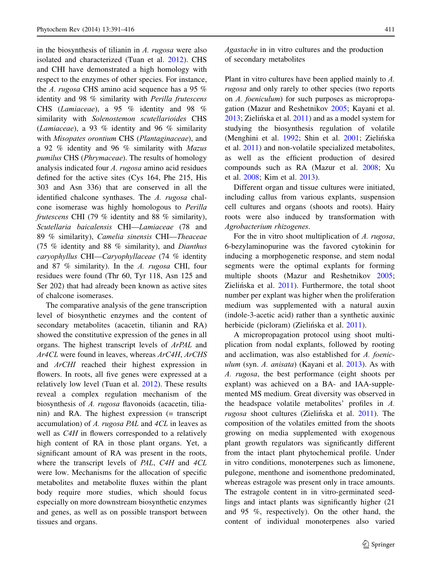in the biosynthesis of tilianin in A. rugosa were also isolated and characterized (Tuan et al. [2012\)](#page-25-0). CHS and CHI have demonstrated a high homology with respect to the enzymes of other species. For instance, the A. rugosa CHS amino acid sequence has a 95 % identity and 98 % similarity with Perilla frutescens CHS (Lamiaceae), a 95 % identity and 98 % similarity with Solenostemon scutellarioides CHS (Lamiaceae), a 93 % identity and 96 % similarity with Misopates orontium CHS (Plantaginaceae), and a 92 % identity and 96 % similarity with Mazus pumilus CHS (Phrymaceae). The results of homology analysis indicated four A. rugosa amino acid residues defined for the active sites (Cys 164, Phe 215, His 303 and Asn 336) that are conserved in all the identified chalcone synthases. The A. rugosa chalcone isomerase was highly homologous to Perilla frutescens CHI (79 % identity and 88 % similarity), Scutellaria baicalensis CHI—Lamiaceae (78 and 89 % similarity), Camelia sinensis CHI—Theaceae (75 % identity and 88 % similarity), and Dianthus caryophyllus CHI—Caryophyllaceae (74 % identity and 87 % similarity). In the A. rugosa CHI, four residues were found (Thr 60, Tyr 118, Asn 125 and Ser 202) that had already been known as active sites of chalcone isomerases.

The comparative analysis of the gene transcription level of biosynthetic enzymes and the content of secondary metabolites (acacetin, tilianin and RA) showed the constitutive expression of the genes in all organs. The highest transcript levels of ArPAL and Ar4CL were found in leaves, whereas ArC4H, ArCHS and ArCHI reached their highest expression in flowers. In roots, all five genes were expressed at a relatively low level (Tuan et al. [2012\)](#page-25-0). These results reveal a complex regulation mechanism of the biosynthesis of A. rugosa flavonoids (acacetin, tilianin) and RA. The highest expression (= transcript accumulation) of A. rugosa PAL and 4CL in leaves as well as *C4H* in flowers corresponded to a relatively high content of RA in those plant organs. Yet, a significant amount of RA was present in the roots, where the transcript levels of PAL, C4H and 4CL were low. Mechanisms for the allocation of specific metabolites and metabolite fluxes within the plant body require more studies, which should focus especially on more downstream biosynthetic enzymes and genes, as well as on possible transport between tissues and organs.

Agastache in in vitro cultures and the production of secondary metabolites

Plant in vitro cultures have been applied mainly to A. rugosa and only rarely to other species (two reports on A. foeniculum) for such purposes as micropropagation (Mazur and Reshetnikov [2005;](#page-24-0) Kayani et al. [2013;](#page-23-0) Zielińska et al. [2011](#page-25-0)) and as a model system for studying the biosynthesis regulation of volatile (Menghini et al. [1992](#page-24-0); Shin et al. [2001](#page-25-0); Zielińska et al. [2011](#page-25-0)) and non-volatile specialized metabolites, as well as the efficient production of desired compounds such as RA (Mazur et al. [2008](#page-24-0); Xu et al. [2008;](#page-25-0) Kim et al. [2013](#page-24-0)).

Different organ and tissue cultures were initiated, including callus from various explants, suspension cell cultures and organs (shoots and roots). Hairy roots were also induced by transformation with Agrobacterium rhizogenes.

For the in vitro shoot multiplication of A. rugosa, 6-bezylaminopurine was the favored cytokinin for inducing a morphogenetic response, and stem nodal segments were the optimal explants for forming multiple shoots (Mazur and Reshetnikov [2005](#page-24-0); Zielińska et al. [2011\)](#page-25-0). Furthermore, the total shoot number per explant was higher when the proliferation medium was supplemented with a natural auxin (indole-3-acetic acid) rather than a synthetic auxinic herbicide (picloram) (Zielińska et al. [2011\)](#page-25-0).

A micropropagation protocol using shoot multiplication from nodal explants, followed by rooting and acclimation, was also established for A. foeniculum (syn. A. anisata) (Kayani et al. [2013\)](#page-23-0). As with A. rugosa, the best performance (eight shoots per explant) was achieved on a BA- and IAA-supplemented MS medium. Great diversity was observed in the headspace volatile metabolites' profiles in A.  $rugosa$  shoot cultures (Zielińska et al. [2011\)](#page-25-0). The composition of the volatiles emitted from the shoots growing on media supplemented with exogenous plant growth regulators was significantly different from the intact plant phytochemical profile. Under in vitro conditions, monoterpenes such as limonene, pulegone, menthone and isomenthone predominated, whereas estragole was present only in trace amounts. The estragole content in in vitro-germinated seedlings and intact plants was significantly higher (21 and 95 %, respectively). On the other hand, the content of individual monoterpenes also varied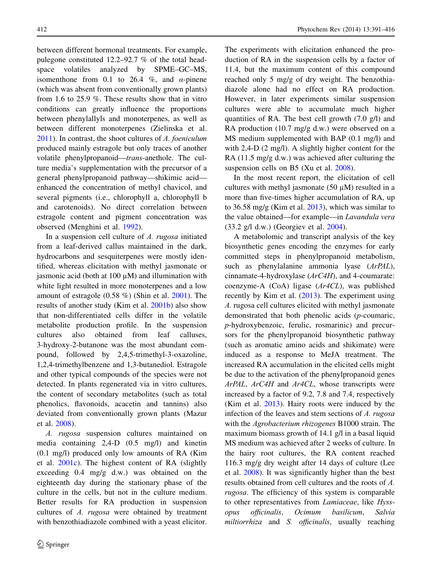between different hormonal treatments. For example, pulegone constituted 12.2–92.7 % of the total headspace volatiles analyzed by SPME–GC–MS, isomenthone from 0.1 to 26.4 %, and  $\alpha$ -pinene (which was absent from conventionally grown plants) from 1.6 to 25.9 %. These results show that in vitro conditions can greatly influence the proportions between phenylallyls and monoterpenes, as well as between different monoterpenes (Zielinska et al. [2011\)](#page-25-0). In contrast, the shoot cultures of A. foeniculum produced mainly estragole but only traces of another volatile phenylpropanoid—trans-anethole. The culture media's supplementation with the precursor of a general phenylpropanoid pathway—shikimic acid enhanced the concentration of methyl chavicol, and several pigments (i.e., chlorophyll a, chlorophyll b and carotenoids). No direct correlation between estragole content and pigment concentration was observed (Menghini et al. [1992](#page-24-0)).

In a suspension cell culture of  $A$ . *rugosa* initiated from a leaf-derived callus maintained in the dark, hydrocarbons and sesquiterpenes were mostly identified, whereas elicitation with methyl jasmonate or jasmonic acid (both at  $100 \mu M$ ) and illumination with white light resulted in more monoterpenes and a low amount of estragole (0.58 %) (Shin et al. [2001\)](#page-25-0). The results of another study (Kim et al. [2001b](#page-24-0)) also show that non-differentiated cells differ in the volatile metabolite production profile. In the suspension cultures also obtained from leaf calluses, 3-hydroxy-2-butanone was the most abundant compound, followed by 2,4,5-trimethyl-3-oxazoline, 1,2,4-trimethylbenzene and 1,3-butanediol. Estragole and other typical compounds of the species were not detected. In plants regenerated via in vitro cultures, the content of secondary metabolites (such as total phenolics, flavonoids, acacetin and tannins) also deviated from conventionally grown plants (Mazur et al. [2008](#page-24-0)).

A. rugosa suspension cultures maintained on media containing 2,4-D (0.5 mg/l) and kinetin (0.1 mg/l) produced only low amounts of RA (Kim et al. [2001c\)](#page-24-0). The highest content of RA (slightly exceeding 0.4 mg/g d.w.) was obtained on the eighteenth day during the stationary phase of the culture in the cells, but not in the culture medium. Better results for RA production in suspension cultures of A. rugosa were obtained by treatment with benzothiadiazole combined with a yeast elicitor.

The experiments with elicitation enhanced the production of RA in the suspension cells by a factor of 11.4, but the maximum content of this compound reached only 5 mg/g of dry weight. The benzothiadiazole alone had no effect on RA production. However, in later experiments similar suspension cultures were able to accumulate much higher quantities of RA. The best cell growth (7.0 g/l) and RA production (10.7 mg/g d.w.) were observed on a MS medium supplemented with BAP (0.1 mg/l) and with 2,4-D (2 mg/l). A slightly higher content for the RA (11.5 mg/g d.w.) was achieved after culturing the suspension cells on B5 (Xu et al. [2008](#page-25-0)).

In the most recent report, the elicitation of cell cultures with methyl jasmonate  $(50 \mu M)$  resulted in a more than five-times higher accumulation of RA, up to 36.58 mg/g (Kim et al. [2013\)](#page-24-0), which was similar to the value obtained—for example—in Lavandula vera (33.2 g/l d.w.) (Georgiev et al. [2004](#page-23-0)).

A metabolomic and transcript analysis of the key biosynthetic genes encoding the enzymes for early committed steps in phenylpropanoid metabolism, such as phenylalanine ammonia lyase (ArPAL), cinnamate-4-hydroxylase (ArC4H), and 4-coumarate: coenzyme-A (CoA) ligase (Ar4CL), was published recently by Kim et al. [\(2013](#page-24-0)). The experiment using A. rugosa cell cultures elicited with methyl jasmonate demonstrated that both phenolic acids (p-coumaric, p-hydroxybenzoic, ferulic, rosmarinic) and precursors for the phenylpropanoid biosynthetic pathway (such as aromatic amino acids and shikimate) were induced as a response to MeJA treatment. The increased RA accumulation in the elicited cells might be due to the activation of the phenylpropanoid genes ArPAL, ArC4H and Ar4CL, whose transcripts were increased by a factor of 9.2, 7.8 and 7.4, respectively (Kim et al. [2013\)](#page-24-0). Hairy roots were induced by the infection of the leaves and stem sections of A. rugosa with the *Agrobacterium rhizogenes* B1000 strain. The maximum biomass growth of 14.1 g/l in a basal liquid MS medium was achieved after 2 weeks of culture. In the hairy root cultures, the RA content reached 116.3 mg/g dry weight after 14 days of culture (Lee et al. [2008\)](#page-24-0). It was significantly higher than the best results obtained from cell cultures and the roots of A. rugosa. The efficiency of this system is comparable to other representatives from Lamiaceae, like Hyssopus officinalis, Ocimum basilicum, Salvia miltiorrhiza and S. officinalis, usually reaching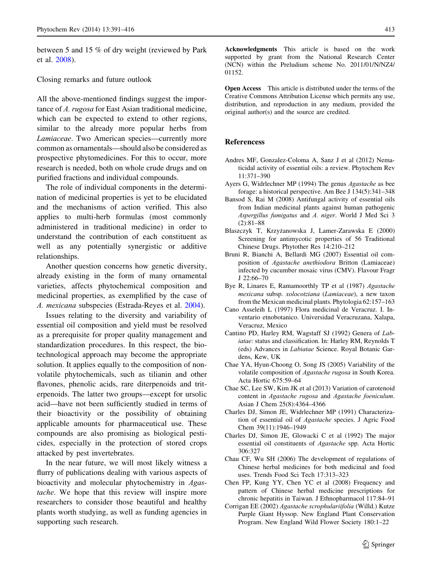<span id="page-22-0"></span>between 5 and 15 % of dry weight (reviewed by Park et al. [2008](#page-25-0)).

Closing remarks and future outlook

All the above-mentioned findings suggest the importance of A. rugosa for East Asian traditional medicine, which can be expected to extend to other regions, similar to the already more popular herbs from Lamiaceae. Two American species—currently more common as ornamentals—should also be considered as prospective phytomedicines. For this to occur, more research is needed, both on whole crude drugs and on purified fractions and individual compounds.

The role of individual components in the determination of medicinal properties is yet to be elucidated and the mechanisms of action verified. This also applies to multi-herb formulas (most commonly administered in traditional medicine) in order to understand the contribution of each constituent as well as any potentially synergistic or additive relationships.

Another question concerns how genetic diversity, already existing in the form of many ornamental varieties, affects phytochemical composition and medicinal properties, as exemplified by the case of A. mexicana subspecies (Estrada-Reyes et al. [2004](#page-23-0)).

Issues relating to the diversity and variability of essential oil composition and yield must be resolved as a prerequisite for proper quality management and standardization procedures. In this respect, the biotechnological approach may become the appropriate solution. It applies equally to the composition of nonvolatile phytochemicals, such as tilianin and other flavones, phenolic acids, rare diterpenoids and triterpenoids. The latter two groups—except for ursolic acid—have not been sufficiently studied in terms of their bioactivity or the possibility of obtaining applicable amounts for pharmaceutical use. These compounds are also promising as biological pesticides, especially in the protection of stored crops attacked by pest invertebrates.

In the near future, we will most likely witness a flurry of publications dealing with various aspects of bioactivity and molecular phytochemistry in Agastache. We hope that this review will inspire more researchers to consider those beautiful and healthy plants worth studying, as well as funding agencies in supporting such research.

Acknowledgments This article is based on the work supported by grant from the National Research Center (NCN) within the Preludium scheme No. 2011/01/N/NZ4/ 01152.

Open Access This article is distributed under the terms of the Creative Commons Attribution License which permits any use, distribution, and reproduction in any medium, provided the original author(s) and the source are credited.

#### **Referencess**

- Andres MF, Gonzalez-Coloma A, Sanz J et al (2012) Nematicidal activity of essential oils: a review. Phytochem Rev 11:371–390
- Ayers G, Widrlechner MP (1994) The genus Agastache as bee forage: a historical perspective. Am Bee J 134(5):341–348
- Bansod S, Rai M (2008) Antifungal activity of essential oils from Indian medicinal plants against human pathogenic Aspergillus fumigatus and A. niger. World J Med Sci 3 (2):81–88
- Błaszczyk T, Krzyżanowska J, Lamer-Zarawska E (2000) Screening for antimycotic properties of 56 Traditional Chinese Drugs. Phytother Res 14:210–212
- Bruni R, Bianchi A, Bellardi MG (2007) Essential oil composition of Agastache anethiodora Britton (Lamiaceae) infected by cucumber mosaic virus (CMV). Flavour Fragr J 22:66–70
- Bye R, Linares E, Ramamoorthly TP et al (1987) Agastache mexicana subsp. xolocotziana (Lamiaceae), a new taxon from the Mexican medicinal plants. Phytologia 62:157–163
- Cano Asseleih L (1997) Flora medicinal de Veracruz. I. Inventario etnobotanico. Universidad Veracruzana, Xalapa, Veracruz, Mexico
- Cantino PD, Harley RM, Wagstaff SJ (1992) Genera of Labiatae: status and classification. In: Harley RM, Reynolds T (eds) Advances in Labiatae Science. Royal Botanic Gardens, Kew, UK
- Chae YA, Hyun-Choong O, Song JS (2005) Variability of the volatile composition of Agastache rugosa in South Korea. Acta Hortic 675:59–64
- Chae SC, Lee SW, Kim JK et al (2013) Variation of carotenoid content in Agastache rugosa and Agastache foeniculum. Asian J Chem 25(8):4364–4366
- Charles DJ, Simon JE, Widrlechner MP (1991) Characterization of essential oil of Agastache species. J Agric Food Chem 39(11):1946–1949
- Charles DJ, Simon JE, Glowacki C et al (1992) The major essential oil constituents of Agastache spp. Acta Hortic 306:327
- Chau CF, Wu SH (2006) The development of regulations of Chinese herbal medicines for both medicinal and food uses. Trends Food Sci Tech 17:313–323
- Chen FP, Kung YY, Chen YC et al (2008) Frequency and pattern of Chinese herbal medicine prescriptions for chronic hepatitis in Taiwan. J Ethnopharmacol 117:84–91
- Corrigan EE (2002) Agastache scrophulariifolia (Willd.) Kutze Purple Giant Hyssop. New England Plant Conservation Program. New England Wild Flower Society 180:1–22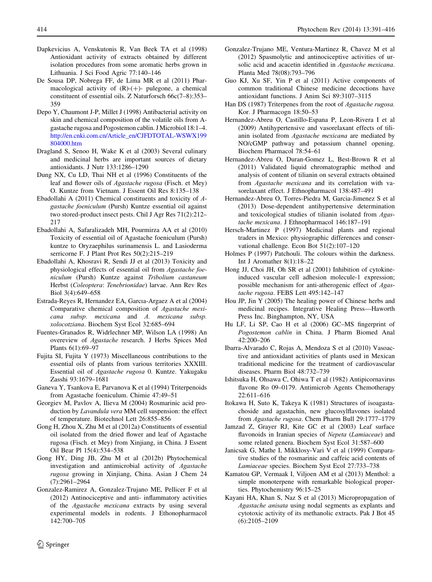- <span id="page-23-0"></span>Dapkevicius A, Venskutonis R, Van Beek TA et al (1998) Antioxidant activity of extracts obtained by different isolation procedures from some aromatic herbs grown in Lithuania. J Sci Food Agric 77:140–146
- De Sousa DP, Nobrega FF, de Lima MR et al (2011) Pharmacological activity of  $(R)-(+)$ - pulegone, a chemical constituent of essential oils. Z Naturforsch 66c(7–8):353– 359
- Depo Y, Chaumont J-P, Millet J (1998) Antibacterial activity on skin and chemical composition of the volatile oils from Agastache rugosa and Pogostemon cablin. J Microbiol 18:1–4. [http://en.cnki.com.cn/Article\\_en/CJFDTOTAL-WSWX199](http://en.cnki.com.cn/Article_en/CJFDTOTAL-WSWX199804000.htm) [804000.htm](http://en.cnki.com.cn/Article_en/CJFDTOTAL-WSWX199804000.htm)
- Dragland S, Senoo H, Wake K et al (2003) Several culinary and medicinal herbs are important sources of dietary antioxidants. J Nutr 133:1286–1290
- Dung NX, Cu LD, Thai NH et al (1996) Constituents of the leaf and flower oils of Agastache rugosa (Fisch. et Mey) O. Kuntze from Vietnam. J Essent Oil Res 8:135–138
- Ebadollahi A (2011) Chemical constituents and toxicity of Agastache foeniculum (Pursh) Kuntze essential oil against two stored-product insect pests. Chil J Agr Res 71(2):212– 217
- Ebadollahi A, Safaralizadeh MH, Pourmirza AA et al (2010) Toxicity of essential oil of Agastache foeniculum (Pursh) kuntze to Oryzaephilus surinamensis L. and Lasioderma serricorne F. J Plant Prot Res 50(2):215–219
- Ebadollahi A, Khosravi R, Sendi JJ et al (2013) Toxicity and physiological effects of essential oil from Agastache foeniculum (Pursh) Kuntze against Tribolium castaneum Herbst (Coleoptera: Tenebrionidae) larvae. Ann Rev Res Biol 3(4):649–658
- Estrada-Reyes R, Hernandez EA, Garcıa-Argaez A et al (2004) Comparative chemical composition of Agastache mexicana subsp. mexicana and A. mexicana subsp. xolocotziana. Biochem Syst Ecol 32:685–694
- Fuentes-Granados R, Widrlechner MP, Wilson LA (1998) An overeview of Agastache research. J Herbs Spices Med Plants 6(1):69–97
- Fujita SI, Fujita Y (1973) Miscellaneous contributions to the essential oils of plants from various territories XXXIII. Essential oil of Agastache rugosa 0. Kuntze. Yakugaku Zasshi 93:1679–1681
- Ganeva Y, Tsankova E, Parvanova K et al (1994) Triterpenoids from Agastache foeniculum. Chimie 47:49–51
- Georgiev M, Pavlov A, Ilieva M (2004) Rosmarinic acid production by Lavandula vera MM cell suspension: the effect of temperature. Biotechnol Lett 26:855–856
- Gong H, Zhou X, Zhu M et al (2012a) Constituents of essential oil isolated from the dried flower and leaf of Agastache rugosa (Fisch. et Mey) from Xinjiang, in China. J Essent Oil Bear Pl 15(4):534–538
- Gong HY, Ding JB, Zhu M et al (2012b) Phytochemical investigation and antimicrobial activity of Agastache rugosa growing in Xinjiang, China. Asian J Chem 24 (7):2961–2964
- Gonzalez-Ramirez A, Gonzalez-Trujano ME, Pellicer F et al (2012) Antinociceptive and anti- inflammatory activities of the Agastache mexicana extracts by using several experimental models in rodents. J Ethonopharmacol 142:700–705
- Gonzalez-Trujano ME, Ventura-Martinez R, Chavez M et al (2012) Spasmolytic and antinociceptive activities of ursolic acid and acacetin identified in Agastache mexicana. Planta Med 78(08):793–796
- Guo KJ, Xu SF, Yin P et al (2011) Active components of common traditional Chinese medicine decoctions have antioxidant functions. J Anim Sci 89:3107–3115
- Han DS (1987) Triterpenes from the root of Agastache rugosa. Kor. J Pharmacogn 18:50–53
- Hernandez-Abreu O, Castillo-Espana P, Leon-Rivera I et al (2009) Antihypertensive and vasorelaxant effects of tilianin isolated from Agastache mexicana are mediated by NO/cGMP pathway and potassium channel opening. Biochem Pharmacol 78:54–61
- Hernandez-Abreu O, Duran-Gomez L, Best-Brown R et al (2011) Validated liquid chromatographic method and analysis of content of tilianin on several extracts obtained from Agastache mexicana and its correlation with vasorelaxant effect. J Ethnopharmacol 138:487–491
- Hernandez-Abreu O, Torres-Piedra M, Garcia-Jimenez S et al (2013) Dose-dependent antihypertensive determination and toxicological studies of tilianin isolated from Agastache mexicana. J Ethnopharmacol 146:187–191
- Hersch-Martinez P (1997) Medicinal plants and regional traders in Mexico: physiographic differences and conservational challenge. Econ Bot 51(2):107–120
- Holmes P (1997) Patchouli. The colours within the darkness. Int J Aromather 8(1):18–22
- Hong JJ, Choi JH, Oh SR et al (2001) Inhibition of cytokineinduced vascular cell adhesion molecule-1 expression; possible mechanism for anti-atherogenic effect of Agastache rugosa. FEBS Lett 495:142–147
- Hou JP, Jin Y (2005) The healing power of Chinese herbs and medicinal recipes. Integrative Healing Press—Haworth Press Inc. Binghampton, NY, USA
- Hu LF, Li SP, Cao H et al (2006) GC–MS fingerprint of Pogostemon cablin in China. J Pharm Biomed Anal  $42:200 - 206$
- Ibarra-Alvarado C, Rojas A, Mendoza S et al (2010) Vasoactive and antioxidant activities of plants used in Mexican traditional medicine for the treatment of cardiovascular diseases. Pharm Biol 48:732–739
- Ishitsuka H, Ohsawa C, Ohiwa T et al (1982) Antipicornavirus flavone Ro 09–0179. Antimicrob Agents Chemotherapy 22:611–616
- Itokawa H, Suto K, Takeya K (1981) Structures of isoagastachoside and agastachin, new glucosylflavones isolated from Agastache rugosa. Chem Pharm Bull 29:1777–1779
- Jamzad Z, Grayer RJ, Kite GC et al (2003) Leaf surface flavonoids in Iranian species of Nepeta (Lamiaceae) and some related genera. Biochem Syst Ecol 31:587–600
- Janicsak G, Mathe I, Mikklosy-Vari V et al (1999) Comparative studies of the rosmarinic and caffeic acid contents of Lamiaceae species. Biochem Syst Ecol 27:733–738
- Kamatou GP, Vermaak I, Viljoen AM et al (2013) Menthol: a simple monoterpene with remarkable biological properties. Phytochemistry 96:15–25
- Kayani HA, Khan S, Naz S et al (2013) Micropropagation of Agastache anisata using nodal segments as explants and cytotoxic activity of its methanolic extracts. Pak J Bot 45 (6):2105–2109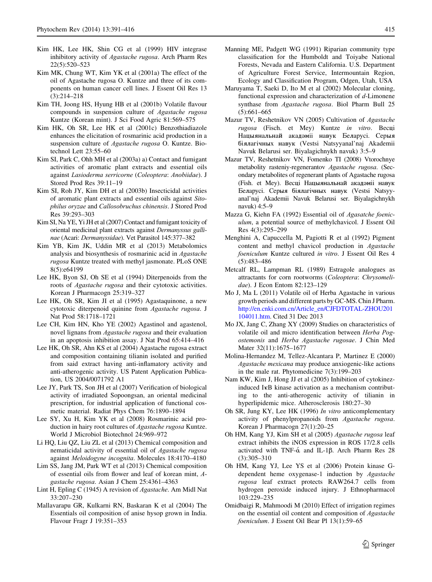- <span id="page-24-0"></span>Kim HK, Lee HK, Shin CG et al (1999) HIV integrase inhibitory activity of Agastache rugosa. Arch Pharm Res 22(5):520–523
- Kim MK, Chung WT, Kim YK et al (2001a) The effect of the oil of Agastache rugosa O. Kuntze and three of its components on human cancer cell lines. J Essent Oil Res 13 (3):214–218
- Kim TH, Joong HS, Hyung HB et al (2001b) Volatile flavour compounds in suspension culture of Agastache rugosa Kuntze (Korean mint). J Sci Food Agric 81:569–575
- Kim HK, Oh SR, Lee HK et al (2001c) Benzothiadiazole enhances the elicitation of rosmarinic acid production in a suspension culture of Agastache rugosa O. Kuntze. Biotechnol Lett 23:55–60
- Kim SI, Park C, Ohh MH et al (2003a) a) Contact and fumigant activities of aromatic plant extracts and essential oils against Lasioderma serricorne (Coleoptera: Anobiidae). J Stored Prod Res 39:11–19
- Kim SI, Roh JY, Kim DH et al (2003b) Insecticidal activities of aromatic plant extracts and essential oils against Sitophilus oryzae and Callosobruchus chinensis. J Stored Prod Res 39:293–303
- Kim SI, Na YE, Yi JH et al (2007) Contact and fumigant toxicity of oriental medicinal plant extracts against Dermanyssus gallinae (Acari: Dermanyssidae). Vet Parasitol 145:377–382
- Kim YB, Kim JK, Uddin MR et al (2013) Metabolomics analysis and biosynthesis of rosmarinic acid in Agastache rugosa Kuntze treated with methyl jasmonate. PLoS ONE 8(5):e64199
- Lee HK, Byon SJ, Oh SE et al (1994) Diterpenoids from the roots of Agastache rugosa and their cytotoxic activities. Korean J Pharmacogn 25:319–327
- Lee HK, Oh SR, Kim JI et al (1995) Agastaquinone, a new cytotoxic diterpenoid quinine from Agastache rugosa. J Nat Prod 58:1718–1721
- Lee CH, Kim HN, Kho YE (2002) Agastinol and agastenol, novel lignans from Agastache rugosa and their evaluation in an apoptosis inhibition assay. J Nat Prod 65:414–416
- Lee HK, Oh SR, Ahn KS et al (2004) Agastache rugosa extract and composition containing tilianin isolated and purified from said extract having anti-inflamatory activity and anti-atherogenic activity. US Patent Application Publication, US 2004/0071792 A1
- Lee JY, Park TS, Son JH et al (2007) Verification of biological activity of irradiated Sopoongsan, an oriental medicinal prescription, for industrial application of functional cosmetic material. Radiat Phys Chem 76:1890–1894
- Lee SY, Xu H, Kim YK et al (2008) Rosmarinic acid production in hairy root cultures of Agastache rugosa Kuntze. World J Microbiol Biotechnol 24:969–972
- Li HQ, Liu QZ, Liu ZL et al (2013) Chemical composition and nematicidal activity of essential oil of Agastache rugosa against Meloidogyne incognita. Molecules 18:4170–4180
- Lim SS, Jang JM, Park WT et al (2013) Chemical composition of essential oils from flower and leaf of korean mint, Agastache rugosa. Asian J Chem 25:4361–4363
- Lint H, Epling C (1945) A revision of Agastache. Am Midl Nat 33:207–230
- Mallavarapu GR, Kulkarni RN, Baskaran K et al (2004) The Essentials oil composition of anise hysop grown in India. Flavour Fragr J 19:351–353
- Manning ME, Padgett WG (1991) Riparian community type classification for the Humboldt and Toiyabe National Forests, Nevada and Eastern California. U.S. Department of Agriculture Forest Service, Intermountain Region,
- Ecology and Classification Program, Odgen, Utah, USA Maruyama T, Saeki D, Ito M et al (2002) Molecular cloning, functional expression and characterization of d-Limonene synthase from Agastache rugosa. Biol Pharm Bull 25 (5):661–665
- Mazur TV, Reshetnikov VN (2005) Cultivation of Agastache rugosa (Fisch. et Mey) Kuntze in vitro. Becцi Haцыянaльнaй aкaдэмii нaвyк Бeлapyci. Cepыя бiялaгiчныx нaвyк (Vestsi Natsyyanal'naj Akademii Navuk Belarusi ser. Biyalagichnykh navuk) 3:5–9
- Mazur TV, Reshetnikov VN, Fomenko TI (2008) Vtorochnye metabolity rasteniy-regenerantov Agastache rugosa. (Secondary metabolites of regenerant plants of Agastache rugosa (Fish. et Mey). Becцi Haцыянaльнaй aкaдэмii нaвyк Бeлapyci. Cepыя бiялaгiчныx нaвyк (Vestsi Natsyyanal'naj Akademii Navuk Belarusi ser. Biyalagichnykh navuk) 4:5–9
- Mazza G, Kiehn FA (1992) Essential oil of Agasatche foeniculum, a potential source of methylchavicol. J Essent Oil Res 4(3):295–299
- Menghini A, Capuccella M, Pagiotti R et al (1992) Pigment content and methyl chavicol production in Agastache foeniculum Kuntze cultured in vitro. J Essent Oil Res 4 (5):483–486
- Metcalf RL, Lampman RL (1989) Estragole analogues as attractants for corn rootworms (Coleoptera: Chrysomelidae). J Econ Entom 82:123–129
- Mo J, Ma L (2011) Volatile oil of Herba Agastache in various growth periods and different parts by GC-MS. Chin J Pharm. [http://en.cnki.com.cn/Article\\_en/CJFDTOTAL-ZHOU201](http://en.cnki.com.cn/Article_en/CJFDTOTAL-ZHOU201104011.htm) [104011.htm.](http://en.cnki.com.cn/Article_en/CJFDTOTAL-ZHOU201104011.htm) Cited 31 Dec 2013
- Mo JX, Jang C, Zhang XY (2009) Studies on characteristics of volatile oil and micro identification between Herba Pogostemonis and Herba Agastache rugosae. J Chin Med Mater 32(11):1675–1677
- Molina-Hernandez M, Tellez-Alcantara P, Martinez E (2000) Agastache mexicana may produce anxiogenic-like actions in the male rat. Phytomedicine 7(3):199–203
- Nam KW, Kim J, Hong JJ et al (2005) Inhibition of cytokinezinduced IκB kinase activation as a mechanism contributing to the anti-atherogenic activity of tilianin in hyperlipidemic mice. Atherosclerosis 180:27–30
- Oh SR, Jung KY, Lee HK (1996) In vitro anticomplementary activity of phenylpropanoids from Agastache rugosa. Korean J Pharmacogn 27(1):20–25
- Oh HM, Kang YJ, Kim SH et al (2005) Agastache rugosa leaf extract inhibits the iNOS expression in ROS 17/2.8 cells activated with TNF-ά and IL-1β. Arch Pharm Res 28 (3):305–310
- Oh HM, Kang YJ, Lee YS et al (2006) Protein kinase Gdependent heme oxygenase-1 induction by Agastache rugosa leaf extract protects RAW264.7 cells from hydrogen peroxide induced injury. J Ethnopharmacol 103:229–235
- Omidbaigi R, Mahmoodi M (2010) Effect of irrigation regimes on the essential oil content and composition of Agastache foeniculum. J Essent Oil Bear Pl 13(1):59–65